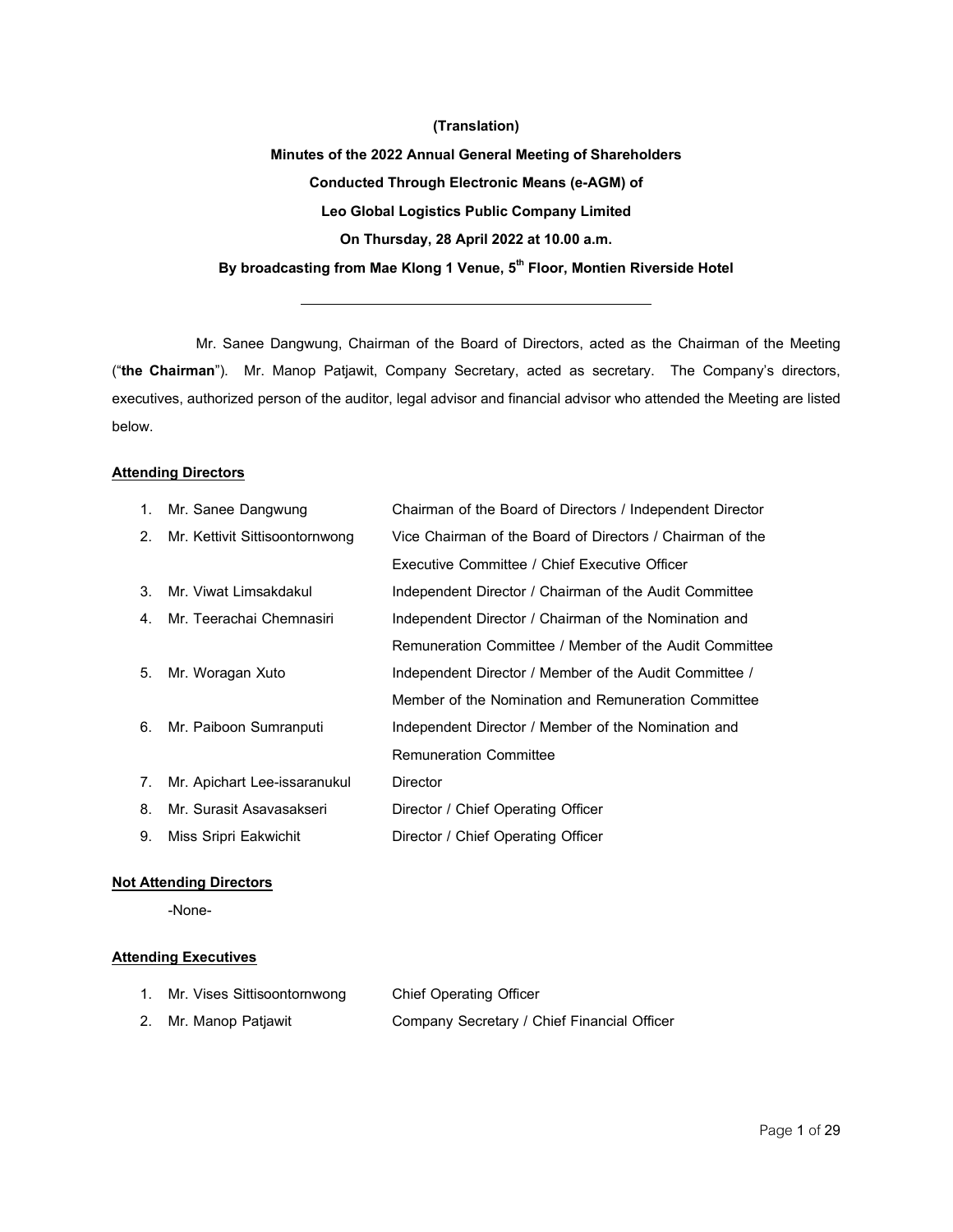#### **(Translation)**

**Minutesof the 2022 Annual General Meetingof Shareholders Conducted Through Electronic Means (e-AGM) of Leo GlobalLogistics Public CompanyLimited OnThursday,28 April2022at10.00a.m. Bybroadcastingfrom Mae Klong1 Venue,5 th Floor, Montien Riverside Hotel**

Mr. Sanee Dangwung, Chairman of the Board of Directors, acted as the Chairman of the Meeting ("**the Chairman**"). Mr. Manop Patjawit, Company Secretary, acted as secretary. The Company's directors, executives, authorized person of the auditor, legal advisor and financial advisor who attended the Meeting are listed below.

#### **Attending Directors**

|                | 1. Mr. Sanee Dangwung          | Chairman of the Board of Directors / Independent Director |
|----------------|--------------------------------|-----------------------------------------------------------|
| 2.             | Mr. Kettivit Sittisoontornwong | Vice Chairman of the Board of Directors / Chairman of the |
|                |                                | Executive Committee / Chief Executive Officer             |
| 3.             | Mr. Viwat Limsakdakul          | Independent Director / Chairman of the Audit Committee    |
| 4 <sup>1</sup> | Mr. Teerachai Chemnasiri       | Independent Director / Chairman of the Nomination and     |
|                |                                | Remuneration Committee / Member of the Audit Committee    |
| 5.             | Mr. Woragan Xuto               | Independent Director / Member of the Audit Committee /    |
|                |                                | Member of the Nomination and Remuneration Committee       |
| 6.             | Mr. Paiboon Sumranputi         | Independent Director / Member of the Nomination and       |
|                |                                | <b>Remuneration Committee</b>                             |
| 7.             | Mr. Apichart Lee-issaranukul   | Director                                                  |
|                | 8. Mr. Surasit Asavasakseri    | Director / Chief Operating Officer                        |
| 9.             | Miss Sripri Eakwichit          | Director / Chief Operating Officer                        |

## **Not Attending Directors**

-None-

## **Attending Executives**

| 1. Mr. Vises Sittisoontornwong | <b>Chief Operating Officer</b>              |
|--------------------------------|---------------------------------------------|
| 2. Mr. Manop Patjawit          | Company Secretary / Chief Financial Officer |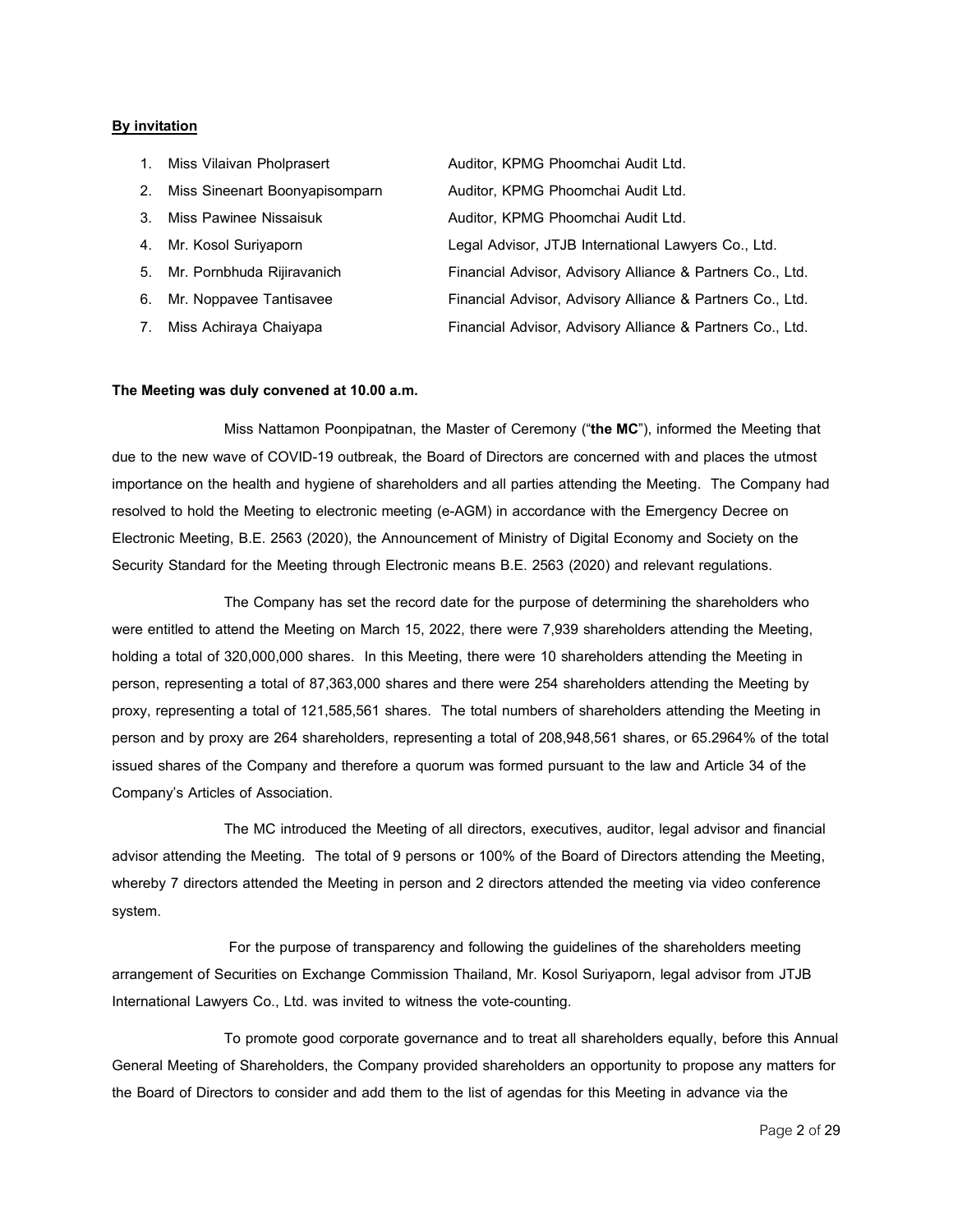### **By invitation**

| $\mathbf{1}$ . | Miss Vilaivan Pholprasert      | Auditor, KPMG Phoomchai Audit Ltd.                        |
|----------------|--------------------------------|-----------------------------------------------------------|
| 2.             | Miss Sineenart Boonyapisomparn | Auditor, KPMG Phoomchai Audit Ltd.                        |
| $3_{-}$        | Miss Pawinee Nissaisuk         | Auditor, KPMG Phoomchai Audit Ltd.                        |
|                | 4. Mr. Kosol Suriyaporn        | Legal Advisor, JTJB International Lawyers Co., Ltd.       |
|                | 5. Mr. Pornbhuda Rijiravanich  | Financial Advisor, Advisory Alliance & Partners Co., Ltd. |
| 6.             | Mr. Noppavee Tantisavee        | Financial Advisor, Advisory Alliance & Partners Co., Ltd. |
| 7.             | Miss Achiraya Chaiyapa         | Financial Advisor, Advisory Alliance & Partners Co., Ltd. |

#### **The Meeting wasduly convenedat10.00a.m.**

Miss Nattamon Poonpipatnan, the Master of Ceremony ("**the MC**"), informed the Meeting that due to the new wave of COVID-19 outbreak, the Board of Directors are concerned with and places the utmost importance on the health and hygiene of shareholders and all parties attending the Meeting. The Company had resolved to hold the Meeting to electronic meeting (e-AGM) in accordance with the Emergency Decree on Electronic Meeting, B.E. 2563 (2020), the Announcement of Ministry of Digital Economy and Society on the Security Standard for the Meeting through Electronic means B.E. 2563 (2020) and relevant regulations.

The Company has set the record date for the purpose of determining the shareholders who were entitled to attend the Meeting on March 15, 2022, there were 7,939 shareholders attending the Meeting, holding a total of 320,000,000 shares. In this Meeting, there were 10 shareholders attending the Meeting in person, representing a total of 87,363,000 shares and there were 254 shareholders attending the Meeting by proxy, representing a total of 121,585,561 shares. The total numbers of shareholders attending the Meeting in person and by proxy are 264 shareholders, representing a total of 208,948,561 shares, or 65.2964% of the total issued shares of the Company and therefore a quorum was formed pursuant to the law and Article 34 of the Company's Articles of Association.

The MC introduced the Meeting of all directors, executives, auditor, legal advisor and financial advisor attending the Meeting. The total of 9 persons or 100% of the Board of Directors attending the Meeting, whereby 7 directors attended the Meeting in person and 2 directors attended the meeting via video conference system.

For the purpose of transparency and following the guidelines of the shareholders meeting arrangement of Securities on Exchange Commission Thailand, Mr. Kosol Suriyaporn, legal advisor from JTJB International Lawyers Co., Ltd. was invited to witness the vote-counting.

To promote good corporate governance and to treat all shareholders equally, before this Annual General Meeting of Shareholders, the Company provided shareholders an opportunity to propose any matters for the Board of Directors to consider and add them to the list of agendas for this Meeting in advance via the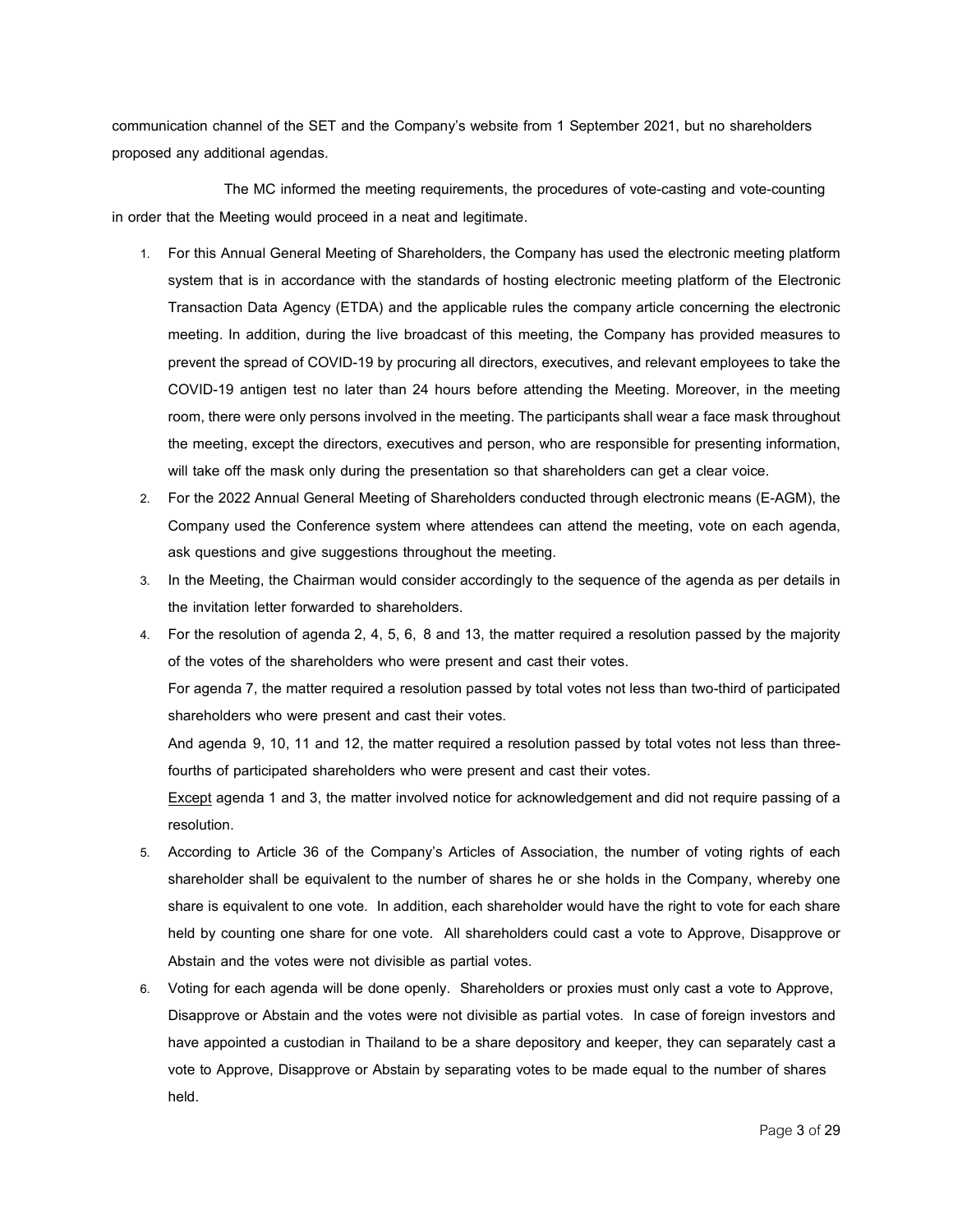communication channel of the SET and the Company's website from 1 September 2021, but no shareholders proposed any additional agendas.

The MC informed the meeting requirements, the procedures of vote-casting and vote-counting in order that the Meeting would proceed in a neat and legitimate.

- 1. For this Annual General Meeting of Shareholders, the Company has used the electronic meeting platform system that is in accordance with the standards of hosting electronic meeting platform of the Electronic Transaction Data Agency (ETDA) and the applicable rules the company article concerning the electronic meeting. In addition, during the live broadcast of this meeting, the Company has provided measures to prevent the spread of COVID-19 by procuring all directors, executives, and relevant employees to take the COVID-19 antigen test no later than 24 hours before attending the Meeting. Moreover, in the meeting room, there were only persons involved in the meeting. The participants shall wear a face mask throughout the meeting, except the directors, executives and person, who are responsible for presenting information, will take off the mask only during the presentation so that shareholders can get a clear voice.
- 2. For the 2022 Annual General Meeting of Shareholders conducted through electronic means (E-AGM), the Company used the Conference system where attendees can attend the meeting, vote on each agenda, ask questions and give suggestions throughout the meeting.
- 3. In the Meeting, the Chairman would consider accordingly to the sequence of the agenda as per details in the invitation letter forwarded to shareholders.
- 4. For the resolution of agenda 2, 4, 5, 6, 8 and 13, the matter required a resolution passed by the majority of the votes of the shareholders who were present and cast their votes.

For agenda7, the matter required a resolution passed by total votes not less than two-third of participated shareholders who were present and cast their votes.

And agenda 9, 10, 11 and 12, the matter required a resolution passed by total votes not less than threefourths of participated shareholders who were present and cast their votes.

Except agenda 1 and 3, the matter involved notice for acknowledgement and did not require passing of a resolution.

- 5. According to Article 36 of the Company's Articles of Association, the number of voting rights of each shareholder shall be equivalent to the number of shares he or she holds in the Company, whereby one share is equivalent to one vote. In addition, each shareholder would have the right to vote for each share held by counting one share for one vote. All shareholders could cast a vote to Approve, Disapprove or Abstain and the votes were not divisible as partial votes.
- 6. Voting for each agenda will be done openly. Shareholders or proxies must only cast a vote to Approve, Disapprove or Abstain and the votes were not divisible as partial votes. In case of foreign investors and have appointed a custodian in Thailand to be a share depository and keeper, they can separately cast a vote to Approve, Disapprove or Abstain by separating votes to be made equal to the number of shares held.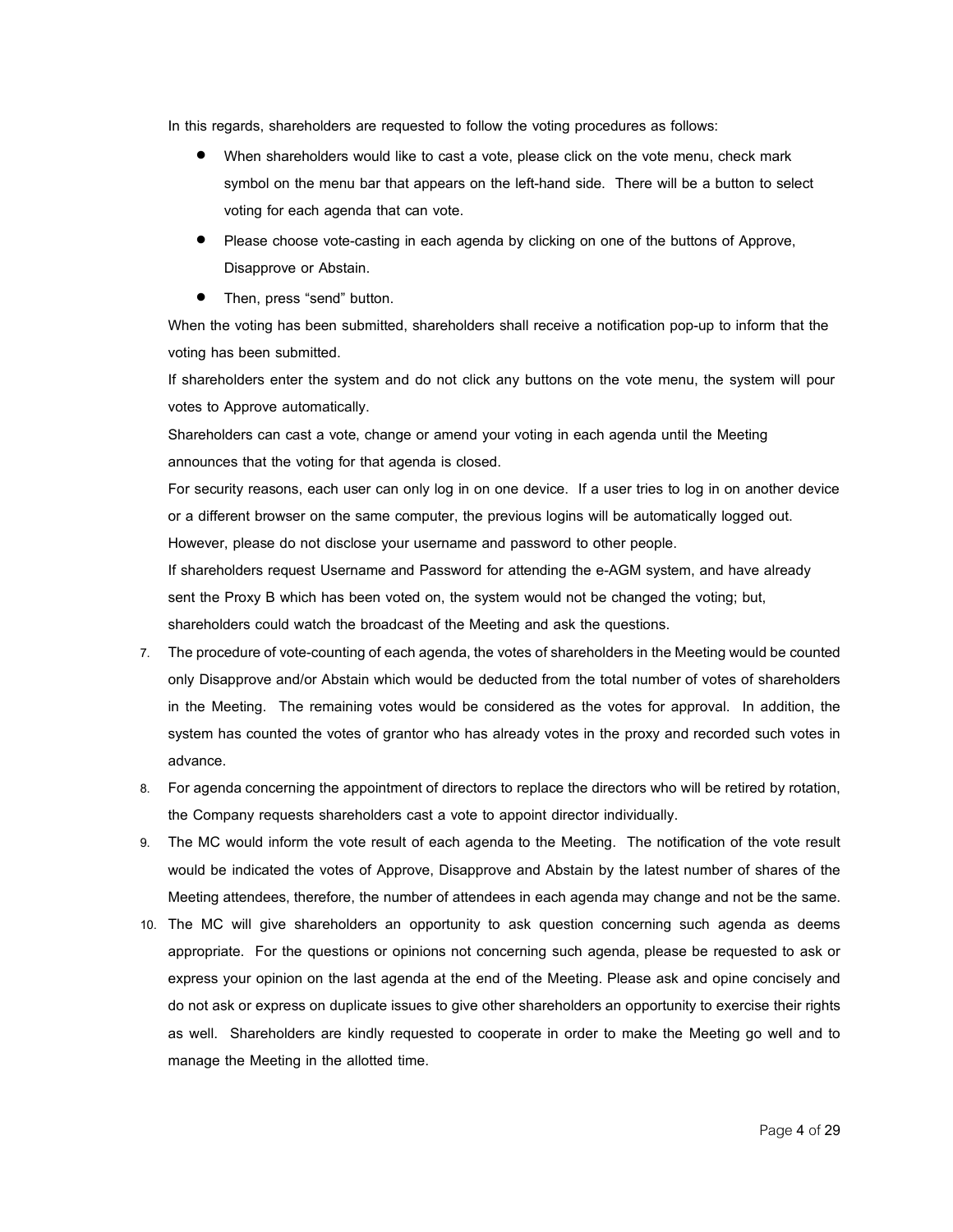In this regards, shareholders are requested to follow the voting procedures as follows:

- When shareholders would like to cast a vote, please click on the vote menu, check mark symbol on the menu bar that appears on the left-hand side. There will be a button to select voting for each agenda that can vote.
- Please choose vote-casting in each agenda by clicking on one of the buttons of Approve, Disapprove or Abstain.
- Then, press "send" button.

When the voting has been submitted, shareholders shall receive a notification pop-up to inform that the voting has been submitted.

If shareholders enter the system and do not click any buttons on the vote menu, the system will pour votes to Approve automatically.

Shareholders can cast a vote, change or amend your voting in each agenda until the Meeting announces that the voting for that agenda is closed.

For security reasons, each user can only log in on one device. If a user tries to log in on another device or a different browser on the same computer, the previous logins will be automatically logged out. However, please do not disclose your username and password to other people.

If shareholders request Username and Password for attending the e-AGM system, and have already sent the Proxy B which has been voted on, the system would not be changed the voting; but, shareholders could watch the broadcast of the Meeting and ask the questions.

- 7. The procedure of vote-counting of each agenda, the votes of shareholders in the Meeting would be counted only Disapprove and/or Abstain which would be deducted from the total number of votes of shareholders in the Meeting. The remaining votes would be considered as the votes for approval. In addition, the system has counted the votes of grantor who has already votes in the proxy and recorded such votes in advance.
- 8. For agenda concerning the appointment of directors to replace the directors who will be retired by rotation, the Company requests shareholders cast a vote to appoint director individually.
- 9. The MC would inform the vote result of each agenda to the Meeting. The notification of the vote result would be indicated the votes of Approve, Disapprove and Abstain by the latest number of shares of the Meeting attendees, therefore, the number of attendees in each agenda may change and not be the same.
- 10. The MC will give shareholders an opportunity to ask question concerning such agenda as deems appropriate. For the questions or opinions not concerning such agenda, please be requested to ask or express your opinion on the last agenda at the end of the Meeting. Please ask and opine concisely and do not ask or express on duplicate issues to give other shareholders an opportunity to exercise their rights as well. Shareholders are kindly requested to cooperate in order to make the Meeting go well and to manage the Meeting in the allotted time.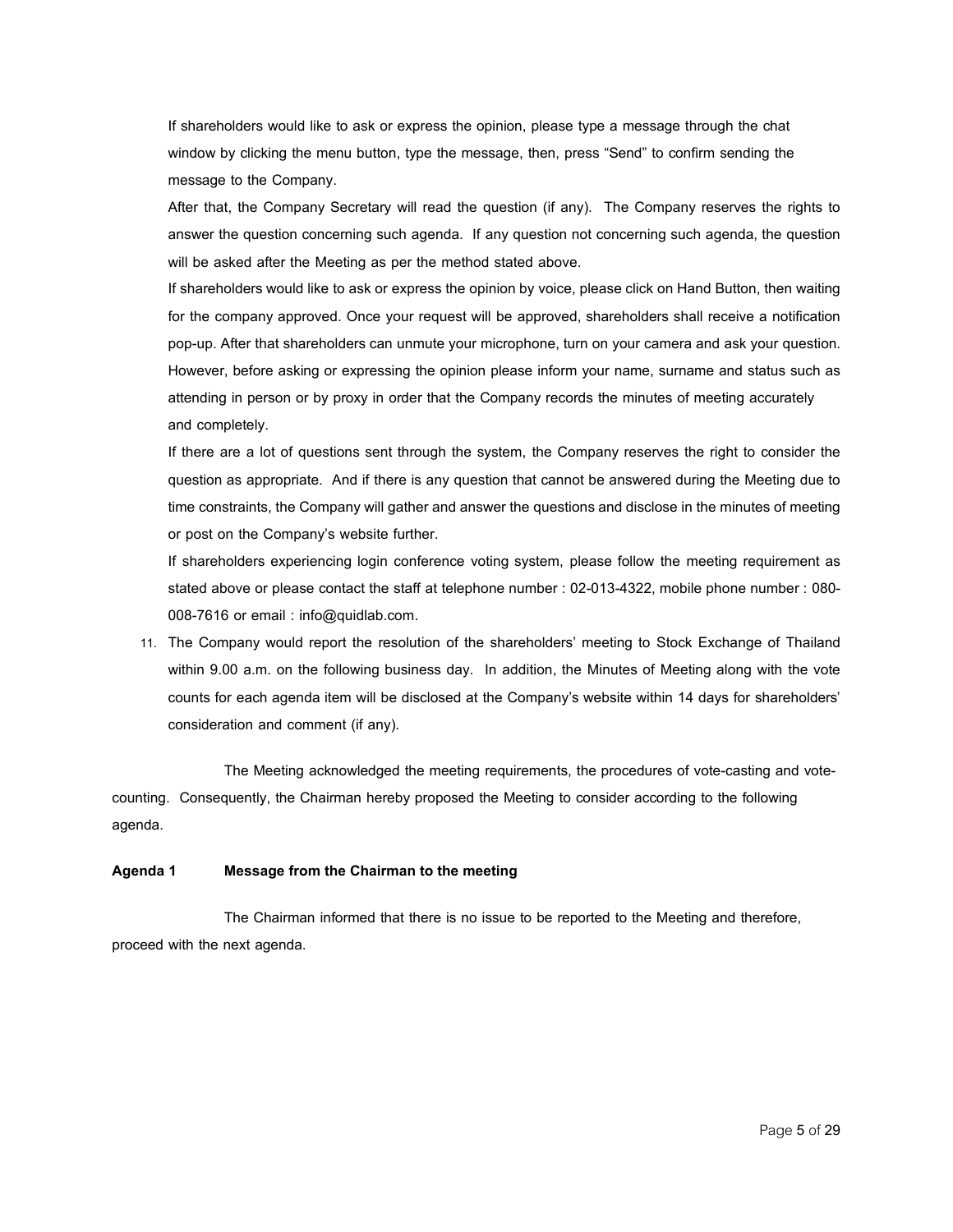If shareholders would like to ask or express the opinion, please type a message through the chat window by clicking the menu button, type the message, then, press "Send" to confirm sending the message to the Company.

After that, the Company Secretary will read the question (if any). The Company reserves the rights to answer the question concerning such agenda. If any question not concerning such agenda, the question will be asked after the Meeting as per the method stated above.

If shareholders would like to ask or express the opinion by voice, please click on Hand Button, then waiting for the company approved. Once your request will be approved, shareholders shall receive a notification pop-up. After that shareholders can unmute your microphone, turn on your camera and ask your question. However, before asking or expressing the opinion please inform your name, surname and status such as attending in person or by proxy in order that the Company records the minutes of meeting accurately and completely.

If there are a lot of questions sent through the system, the Company reserves the right to consider the question as appropriate. And if there is any question that cannot be answered during the Meeting due to time constraints, the Company will gather and answer the questions and disclose in the minutes of meeting or post on the Company's website further.

If shareholders experiencing login conference voting system, please follow the meeting requirement as stated above or please contact the staff at telephone number : 02-013-4322, mobile phone number : 080- 008-7616 or email : info@quidlab.com.

11. The Company would report the resolution of the shareholders' meeting to Stock Exchange of Thailand within 9.00 a.m. on the following business day. In addition, the Minutes of Meeting along with the vote counts for each agenda item will be disclosed at the Company's website within 14 days for shareholders' consideration and comment (if any).

The Meeting acknowledged the meeting requirements, the procedures of vote-casting and votecounting. Consequently, the Chairman hereby proposed the Meeting to consider according to the following agenda.

## **Agenda 1 Message from the Chairman to the meeting**

The Chairman informed that there is no issue to be reported to the Meeting and therefore, proceed with the next agenda.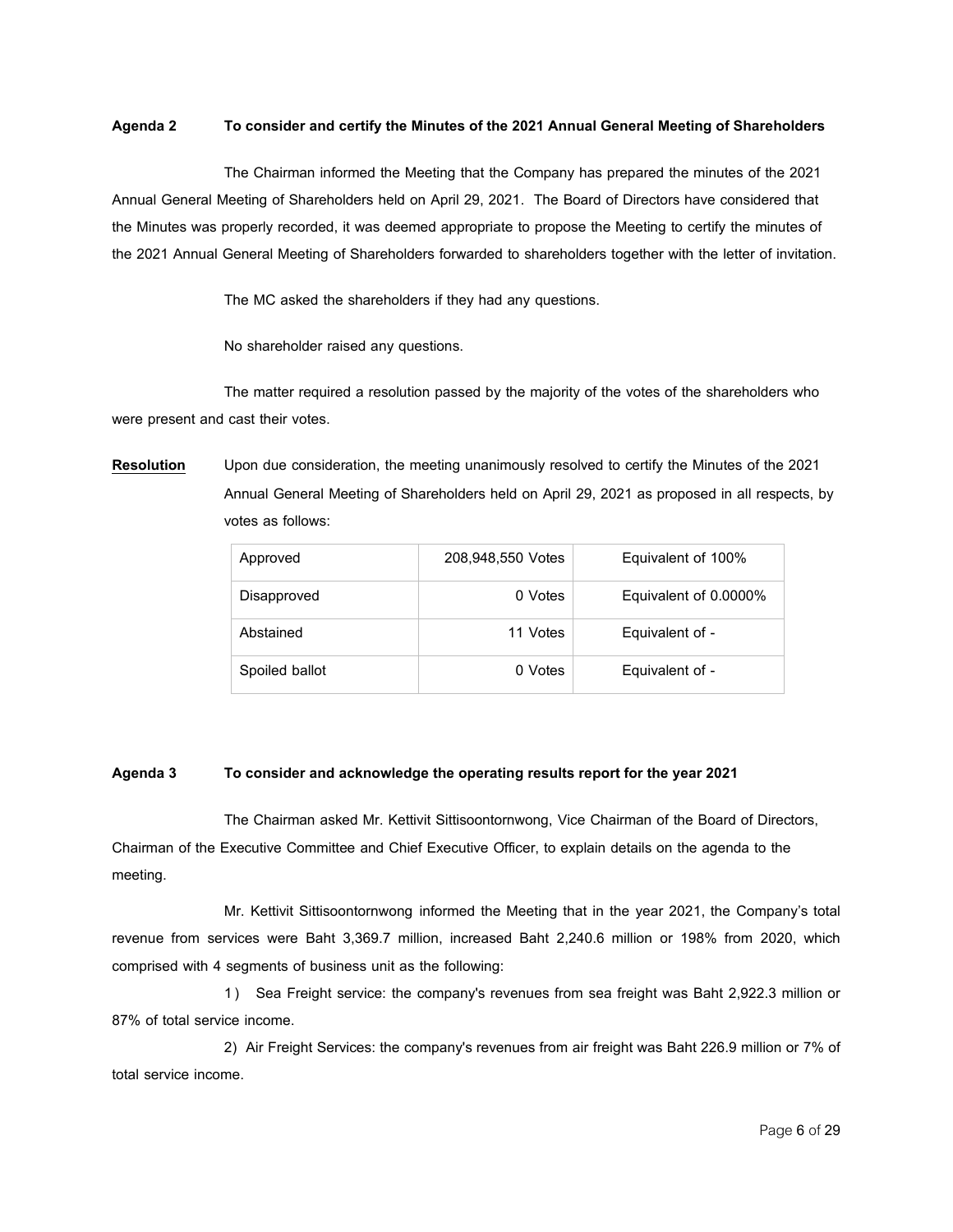### **Agenda 2 Toconsider andcertify the Minutesof the 2021 Annual General Meetingof Shareholders**

The Chairman informed the Meeting that the Company has prepared the minutes of the 2021 Annual General Meeting of Shareholders held on April 29, 2021. The Board of Directors have considered that the Minutes was properly recorded, it was deemed appropriate to propose the Meeting to certify the minutes of the 2021 Annual General Meeting of Shareholders forwarded to shareholders together with the letter of invitation.

The MC asked the shareholders if they had any questions.

No shareholder raised any questions.

The matter required a resolution passed by the majority of the votes of the shareholders who were present and cast their votes.

**Resolution** Upon due consideration, the meeting unanimously resolved to certify the Minutes of the 2021 Annual General Meeting of Shareholders held on April 29, 2021 as proposed in all respects, by votes as follows:

| Approved       | 208,948,550 Votes | Equivalent of 100%    |
|----------------|-------------------|-----------------------|
| Disapproved    | 0 Votes           | Equivalent of 0.0000% |
| Abstained      | 11 Votes          | Equivalent of -       |
| Spoiled ballot | 0 Votes           | Equivalent of -       |

## **Agenda 3 Toconsider andacknowledge theoperatingresults report for the year 2021**

The Chairman asked Mr. Kettivit Sittisoontornwong, Vice Chairman of the Board of Directors, Chairman of the Executive Committee and Chief Executive Officer, to explain details on the agenda to the meeting.

Mr. Kettivit Sittisoontornwong informed the Meeting that in the year 2021, the Company's total revenue from services were Baht 3,369.7 million, increased Baht 2,240.6 million or 198% from 2020, which comprised with 4 segments of business unit as the following:

1 ) Sea Freight service: the company's revenues from sea freight was Baht 2,922.3 million or 87% of total service income.

2) Air Freight Services: the company's revenues from air freight was Baht 226.9 million or 7% of total service income.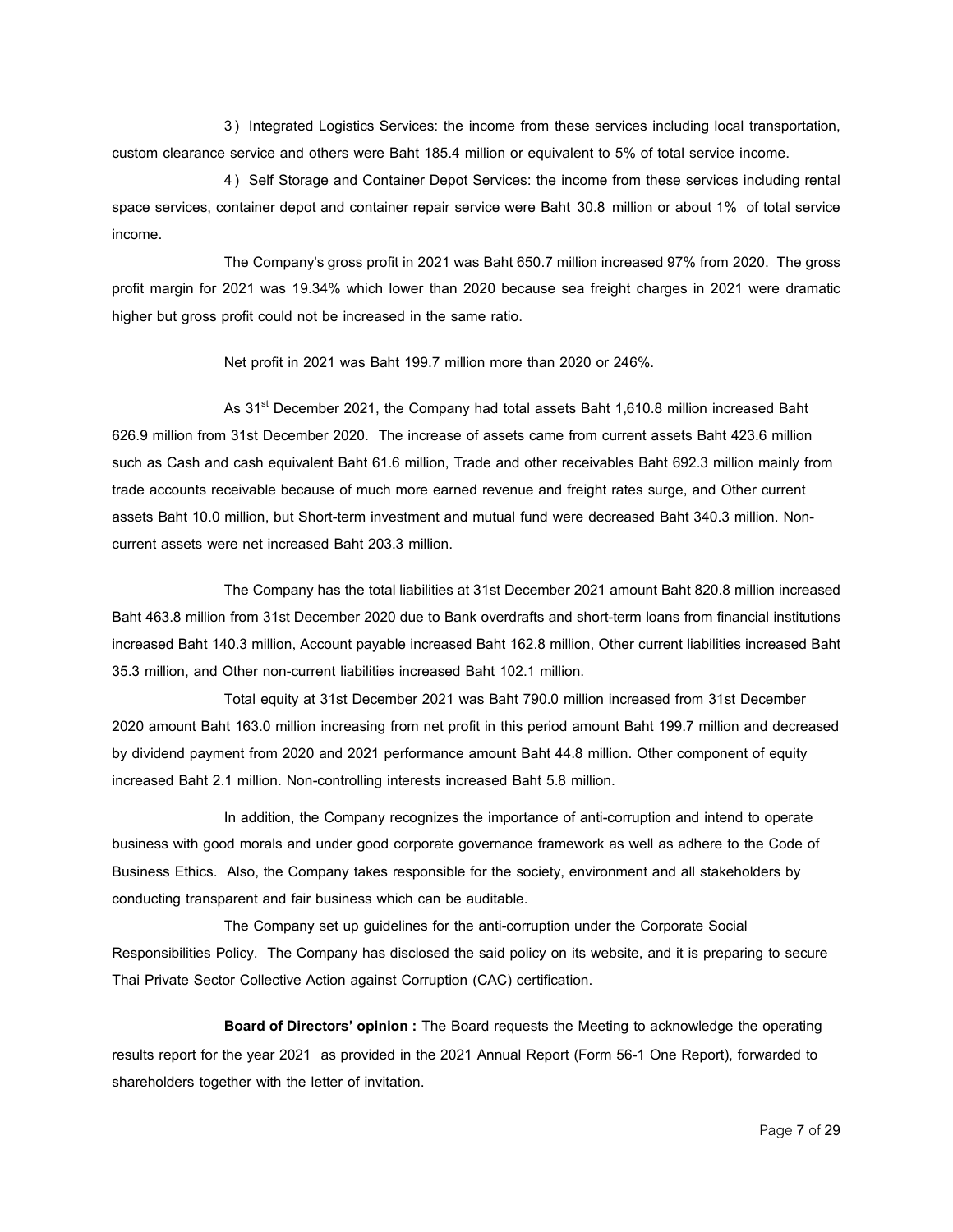3 ) Integrated Logistics Services: the income from these services including local transportation, custom clearance service and others were Baht 185.4 million or equivalent to 5% of total service income.

4 ) Self Storage and Container Depot Services: the income from these services including rental space services, container depot and container repair service were Baht 30.8 million or about 1% of total service income.

The Company's gross profit in 2021 was Baht 650.7 million increased 97% from 2020. The gross profit margin for 2021 was 19.34% which lower than 2020 because sea freight charges in 2021 were dramatic higher but gross profit could not be increased in the same ratio.

Net profit in 2021 was Baht 199.7 million more than 2020 or 246%.

As 31<sup>st</sup> December 2021, the Company had total assets Baht 1,610.8 million increased Baht 626.9 million from 31st December 2020. The increase of assets came from current assets Baht 423.6 million such as Cash and cash equivalent Baht 61.6 million, Trade and other receivables Baht 692.3 million mainly from trade accounts receivable because of much more earned revenue and freight rates surge, and Other current assets Baht 10.0 million, but Short-term investment and mutual fund were decreased Baht 340.3 million. Noncurrent assets were net increased Baht 203.3 million.

The Company has the total liabilities at 31st December 2021 amount Baht 820.8 million increased Baht 463.8 million from 31st December 2020 due to Bank overdrafts and short-term loans from financial institutions increased Baht 140.3 million, Account payable increased Baht 162.8 million, Other current liabilities increased Baht 35.3 million, and Other non-current liabilities increased Baht 102.1 million.

Total equity at 31st December 2021 was Baht 790.0 million increased from 31st December 2020 amount Baht 163.0 million increasing from net profit in this period amount Baht 199.7 million and decreased by dividend payment from 2020 and 2021 performance amount Baht 44.8 million. Other component of equity increased Baht 2.1 million. Non-controlling interests increased Baht 5.8 million.

In addition, the Company recognizes the importance of anti-corruption and intend to operate business with good morals and under good corporate governance framework as well as adhere to the Code of Business Ethics. Also, the Company takes responsible for the society, environment and all stakeholders by conducting transparent and fair business which can be auditable.

The Company set up guidelines for the anti-corruption under the Corporate Social Responsibilities Policy. The Company has disclosed the said policy on its website, and it is preparing to secure Thai Private Sector Collective Action against Corruption (CAC) certification.

**Board of Directors' opinion:** The Board requests the Meeting to acknowledge the operating results report for the year 2021 as provided in the 2021 Annual Report (Form 56-1 One Report), forwarded to shareholders together with the letter of invitation.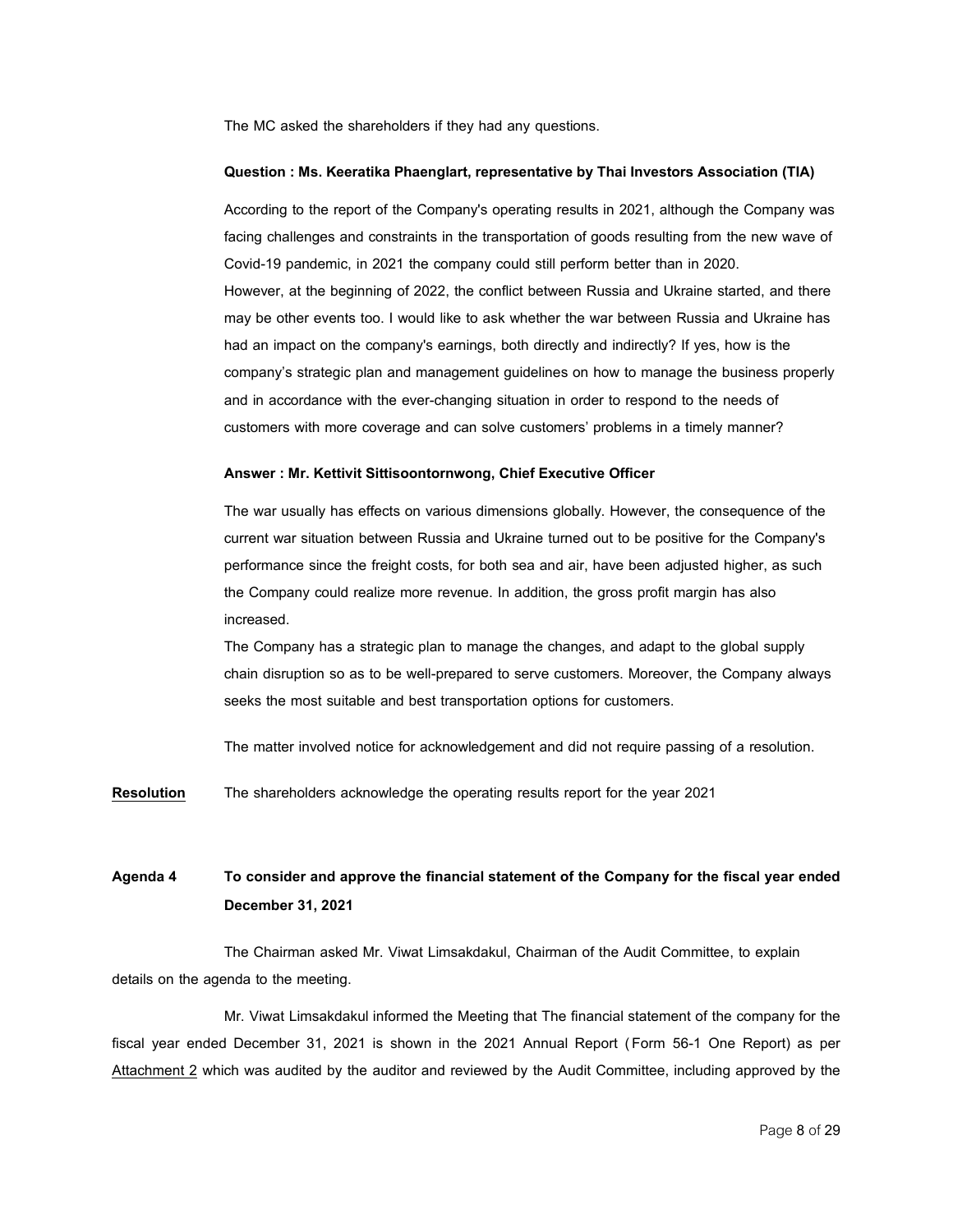The MC asked the shareholders if they had any questions.

#### **Question: Ms. Keeratika Phaenglart, representativebyThai Investors Association(TIA)**

According to the report of the Company's operating results in 2021, although the Company was facing challenges and constraints in the transportation of goods resulting from the new wave of Covid-19 pandemic, in 2021 the company could still perform better than in 2020. However, at the beginning of 2022, the conflict between Russia and Ukraine started, and there may be other events too. I would like to ask whether the war between Russia and Ukraine has had an impact on the company's earnings, both directly and indirectly? If yes, how is the company's strategic plan and management guidelines on how to manage the business properly and in accordance with the ever-changing situation in order to respond to the needs of customers with more coverage and can solve customers' problems in a timely manner?

#### **Answer : Mr. Kettivit Sittisoontornwong, Chief Executive Officer**

The war usually has effects on various dimensions globally. However, the consequence of the current war situation between Russia and Ukraine turned out to be positive for the Company's performance since the freight costs, for both sea and air, have been adjusted higher, as such the Company could realize more revenue. In addition, the gross profit margin has also increased.

The Company has a strategic plan to manage the changes, and adapt to the global supply chain disruption so as to be well-prepared to serve customers. Moreover, the Company always seeks the most suitable and best transportation options for customers.

The matter involved notice for acknowledgement and did not require passing of a resolution.

**Resolution** The shareholders acknowledge the operating results report for the year 2021

## **Agenda 4 To consider and approve the financial statementof the Company for the fiscal year ended December 31,2021**

The Chairman asked Mr. Viwat Limsakdakul, Chairman of the Audit Committee, to explain details on the agenda to the meeting.

Mr. Viwat Limsakdakul informed the Meeting that The financial statement of the company for the fiscal year ended December 31, 2021 is shown in the 2021 Annual Report (Form 56-1 One Report) as per Attachment 2 which was audited by the auditor and reviewed by the Audit Committee, including approved by the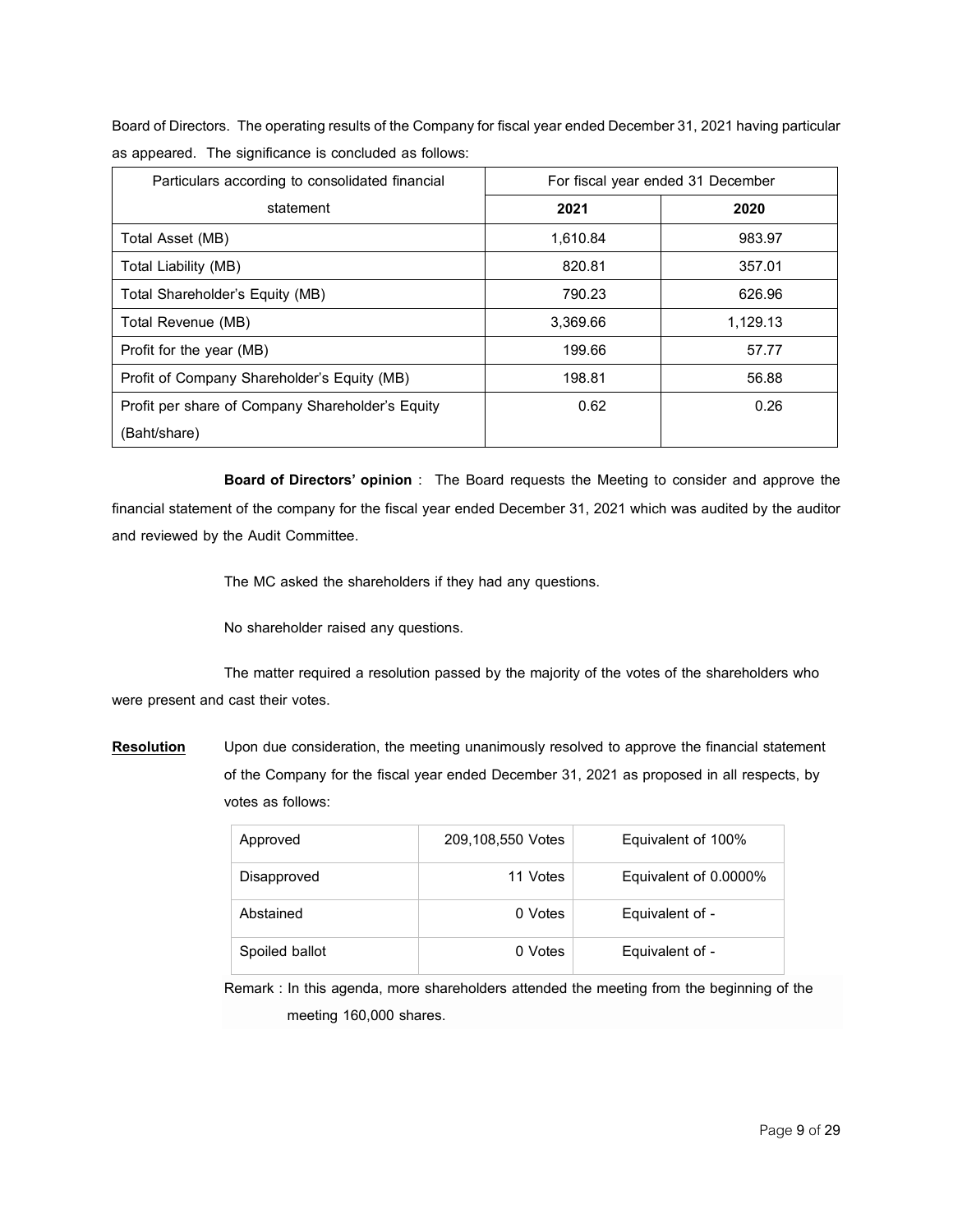Board of Directors. The operating results of the Company for fiscal year ended December 31, 2021 having particular as appeared. The significance is concluded as follows:

| Particulars according to consolidated financial  |          | For fiscal year ended 31 December |
|--------------------------------------------------|----------|-----------------------------------|
| statement                                        | 2021     | 2020                              |
| Total Asset (MB)                                 | 1,610.84 | 983.97                            |
| Total Liability (MB)                             | 820.81   | 357.01                            |
| Total Shareholder's Equity (MB)                  | 790.23   | 626.96                            |
| Total Revenue (MB)                               | 3,369.66 | 1,129.13                          |
| Profit for the year (MB)                         | 199.66   | 57.77                             |
| Profit of Company Shareholder's Equity (MB)      | 198.81   | 56.88                             |
| Profit per share of Company Shareholder's Equity | 0.62     | 0.26                              |
| (Baht/share)                                     |          |                                   |

**Board of Directors' opinion** : The Board requests the Meeting to consider and approve the financial statement of the company for the fiscal year ended December 31, 2021 which was audited by the auditor and reviewed by the Audit Committee.

The MC asked the shareholders if they had any questions.

No shareholder raised any questions.

The matter required a resolution passed by the majority of the votes of the shareholders who were present and cast their votes.

**Resolution** Upon due consideration, the meeting unanimously resolved to approve the financial statement of the Company for the fiscal year ended December 31, 2021 as proposed in all respects, by votes as follows:

| Approved       | 209,108,550 Votes | Equivalent of 100%    |
|----------------|-------------------|-----------------------|
| Disapproved    | 11 Votes          | Equivalent of 0.0000% |
| Abstained      | 0 Votes           | Equivalent of -       |
| Spoiled ballot | 0 Votes           | Equivalent of -       |

Remark : In this agenda, more shareholders attended the meeting from the beginning of the meeting 160,000 shares.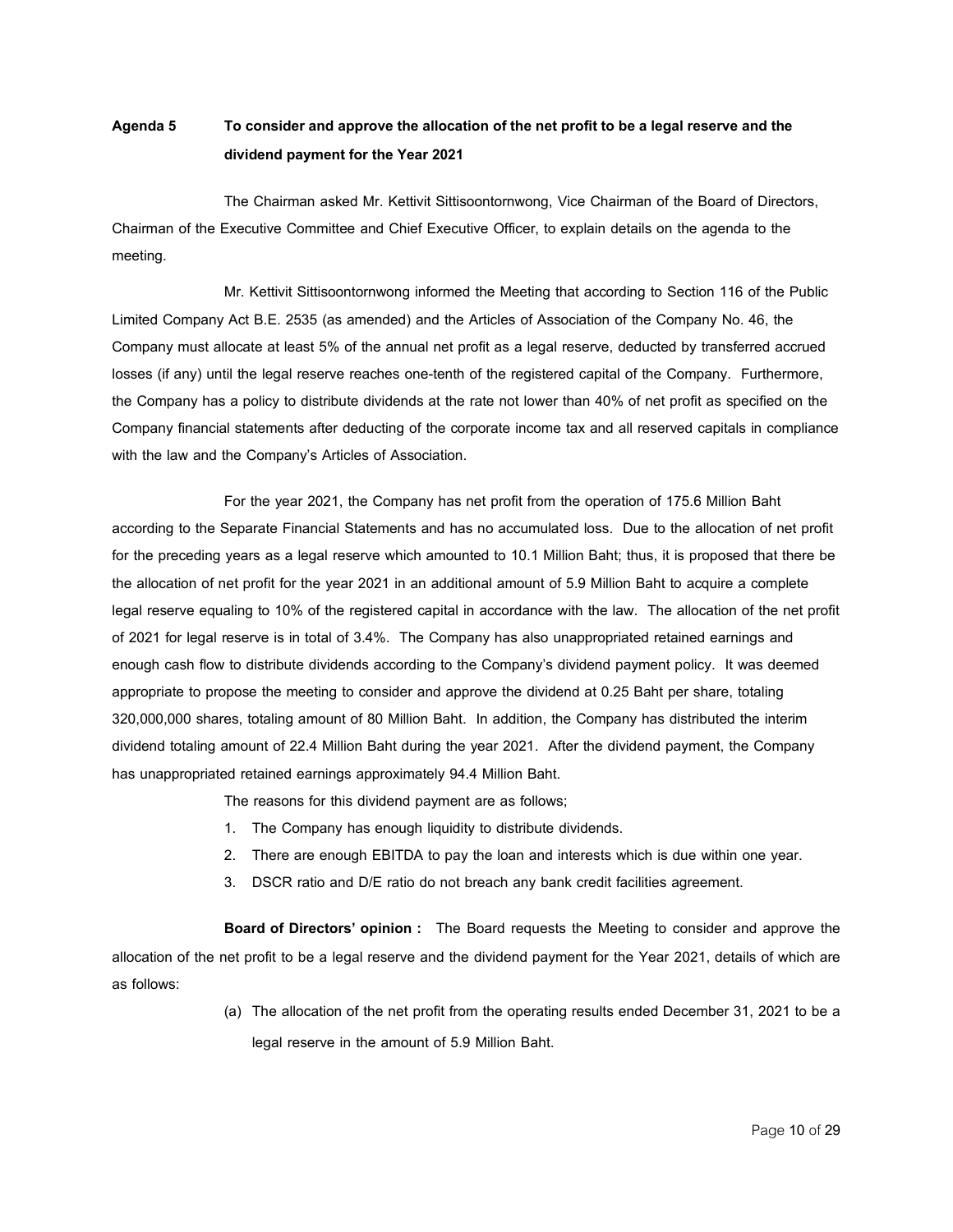## **Agenda 5 Toconsiderandapprove the allocationof thenetprofit tobea legal reserveandthe dividendpayment for the Year 2021**

The Chairman asked Mr. Kettivit Sittisoontornwong, Vice Chairman of the Board of Directors, Chairman of the Executive Committee and Chief Executive Officer, to explain details on the agenda to the meeting.

Mr. Kettivit Sittisoontornwong informed the Meeting that according to Section 116 of the Public Limited Company Act B.E. 2535 (as amended) and the Articles of Association of the Company No. 46, the Company must allocate at least 5% of the annual net profit as a legal reserve, deducted by transferred accrued losses (if any) until the legal reserve reaches one-tenth of the registered capital of the Company. Furthermore, the Company has a policy to distribute dividends at the rate not lower than 40% of net profit as specified on the Company financial statements after deducting of the corporate income tax and all reserved capitals in compliance with the law and the Company's Articles of Association.

For the year 2021, the Company has net profit from the operation of 175.6 Million Baht according to the Separate Financial Statements and has no accumulated loss. Due to the allocation of net profit for the preceding years as a legal reserve which amounted to 10.1 Million Baht; thus, it is proposed that there be the allocation of net profit for the year 2021 in an additional amount of 5.9 Million Baht to acquire a complete legal reserve equaling to 10% of the registered capital in accordance with the law. The allocation of the net profit of 2021 for legal reserve is in total of 3.4%. The Company has also unappropriated retained earnings and enough cash flow to distribute dividends according to the Company's dividend payment policy. It was deemed appropriate to propose the meeting to consider and approve the dividend at 0.25 Baht per share, totaling 320,000,000 shares, totaling amount of 80 Million Baht. In addition, the Company has distributed the interim dividend totaling amount of 22.4 Million Baht during the year 2021. After the dividend payment, the Company has unappropriated retained earnings approximately 94.4 Million Baht.

The reasons for this dividend payment are as follows;

- 1. The Company has enough liquidity to distribute dividends.
- 2. There are enough EBITDA to pay the loan and interests which is due within one year.
- 3. DSCR ratio and D/E ratio do not breach any bank credit facilities agreement.

**Board of Directors' opinion :** The Board requests the Meeting to consider and approve the allocation of the net profit to be a legal reserve and the dividend payment for the Year 2021, details of which are as follows:

> (a) The allocation of the net profit from the operating results ended December 31, 2021 to be a legal reserve in the amount of 5.9 Million Baht.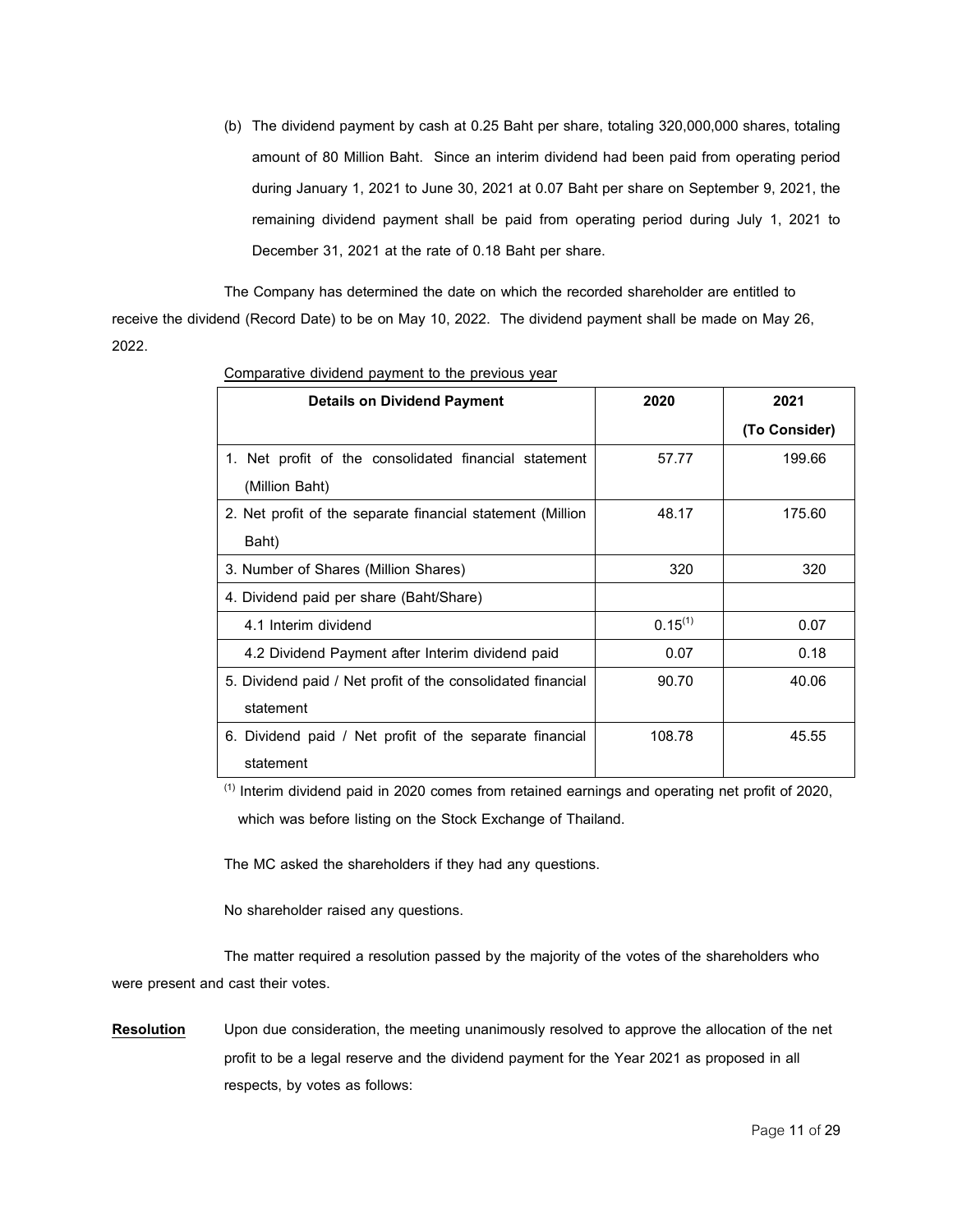(b) The dividend payment by cash at 0.25 Baht per share, totaling 320,000,000 shares, totaling amount of 80 Million Baht. Since an interim dividend had been paid from operating period during January 1, 2021 to June 30, 2021 at 0.07 Baht per share on September 9, 2021, the remaining dividend payment shall be paid from operating period during July 1, 2021 to December 31, 2021 at the rate of 0.18 Baht per share.

The Company has determined the date on which the recorded shareholder are entitled to receive the dividend (Record Date) to be on May 10, 2022. The dividend payment shall be made on May 26, 2022.

| <b>Details on Dividend Payment</b>                          | 2020         | 2021          |
|-------------------------------------------------------------|--------------|---------------|
|                                                             |              | (To Consider) |
| 1. Net profit of the consolidated financial statement       | 57.77        | 199.66        |
| (Million Baht)                                              |              |               |
| 2. Net profit of the separate financial statement (Million  | 48.17        | 175.60        |
| Baht)                                                       |              |               |
| 3. Number of Shares (Million Shares)                        | 320          | 320           |
| 4. Dividend paid per share (Baht/Share)                     |              |               |
| 4.1 Interim dividend                                        | $0.15^{(1)}$ | 0.07          |
| 4.2 Dividend Payment after Interim dividend paid            | 0.07         | 0.18          |
| 5. Dividend paid / Net profit of the consolidated financial | 90.70        | 40.06         |
| statement                                                   |              |               |
| 6. Dividend paid / Net profit of the separate financial     | 108.78       | 45.55         |
| statement                                                   |              |               |

Comparative dividend payment to the previous year

 $<sup>(1)</sup>$  Interim dividend paid in 2020 comes from retained earnings and operating net profit of 2020,</sup> which was before listing on the Stock Exchange of Thailand.

The MC asked the shareholders if they had any questions.

No shareholder raised any questions.

The matter required a resolution passed by the majority of the votes of the shareholders who were present and cast their votes.

**Resolution** Upon due consideration, the meeting unanimously resolved to approve the allocation of the net profit to be a legal reserve and the dividend payment for the Year 2021 as proposed in all respects, by votes as follows: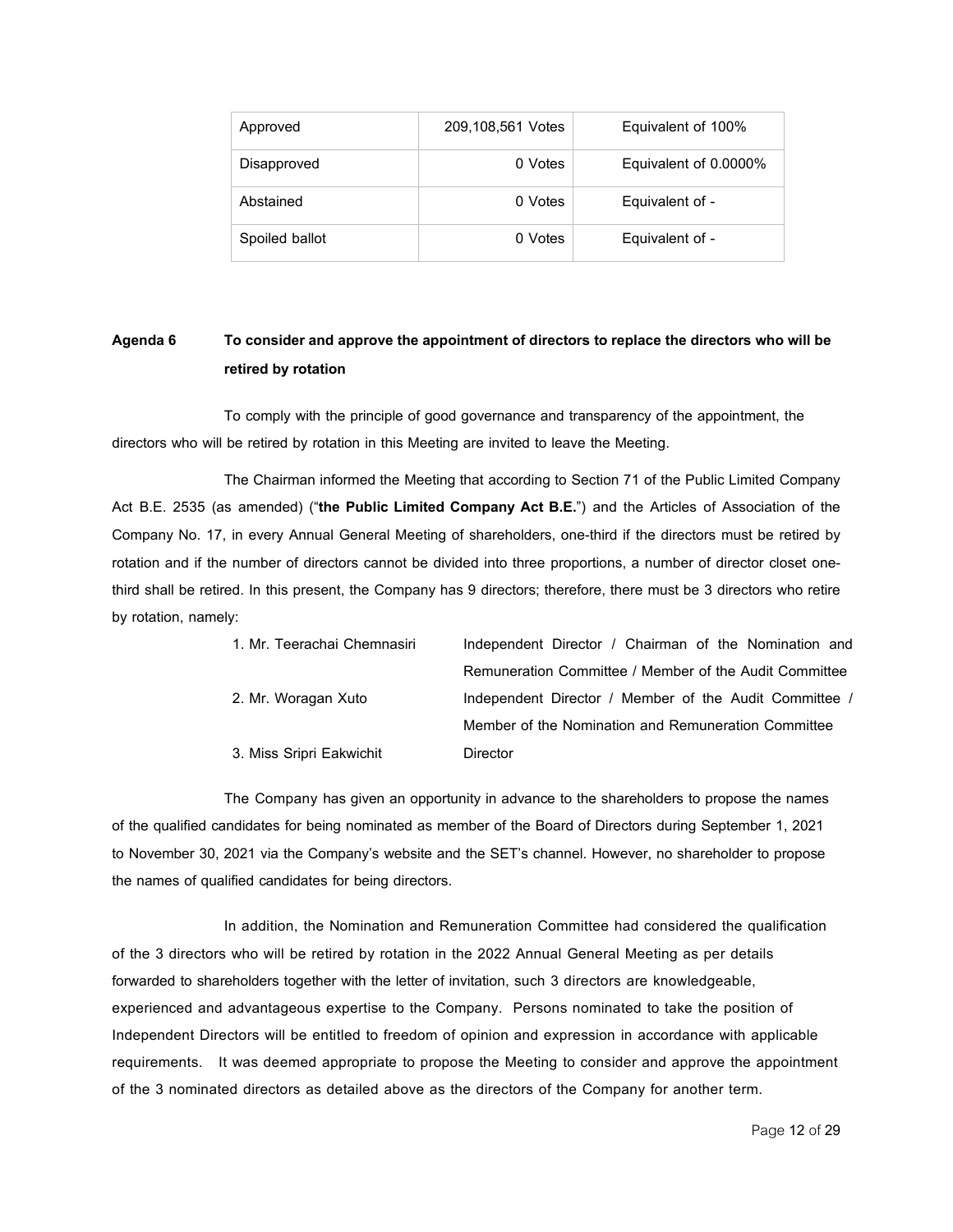| Approved       | 209,108,561 Votes | Equivalent of 100%    |
|----------------|-------------------|-----------------------|
| Disapproved    | 0 Votes           | Equivalent of 0.0000% |
| Abstained      | 0 Votes           | Equivalent of -       |
| Spoiled ballot | 0 Votes           | Equivalent of -       |

## **Agenda 6 Toconsiderandapprove the appointmentofdirectors toreplace thedirectors who willbe retired by rotation**

To comply with the principle of good governance and transparency of the appointment, the directors who will be retired by rotation in this Meeting are invited to leave the Meeting.

The Chairman informed the Meeting that according to Section 71 of the Public Limited Company Act B.E. 2535 (as amended) ("**the Public Limited Company Act B.E.**") and the Articles of Association of the Company No. 17, in every Annual General Meeting of shareholders, one-third if the directors must be retired by rotation and if the number of directors cannot be divided into three proportions, a number of director closet onethird shall be retired. In this present, the Company has 9 directors; therefore, there must be 3 directors who retire by rotation, namely:

| 1. Mr. Teerachai Chemnasiri | Independent Director / Chairman of the Nomination and  |
|-----------------------------|--------------------------------------------------------|
|                             | Remuneration Committee / Member of the Audit Committee |
| 2. Mr. Woragan Xuto         | Independent Director / Member of the Audit Committee / |
|                             | Member of the Nomination and Remuneration Committee    |
| 3. Miss Sripri Eakwichit    | Director                                               |

The Company has given an opportunity in advance to the shareholders to propose the names of the qualified candidates for being nominated as member of the Board of Directors during September 1, 2021 to November 30, 2021 via the Company's website and the SET's channel. However, no shareholder to propose the names of qualified candidates for being directors.

In addition, the Nomination and Remuneration Committee had considered the qualification of the 3 directors who will be retired by rotation in the 2022 Annual General Meeting as per details forwarded to shareholders together with the letter of invitation, such 3 directors are knowledgeable, experienced and advantageous expertise to the Company. Persons nominated to take the position of Independent Directors will be entitled to freedom of opinion and expression in accordance with applicable requirements. It was deemed appropriate to propose the Meeting to consider and approve the appointment of the 3 nominated directors as detailed above as the directors of the Company for another term.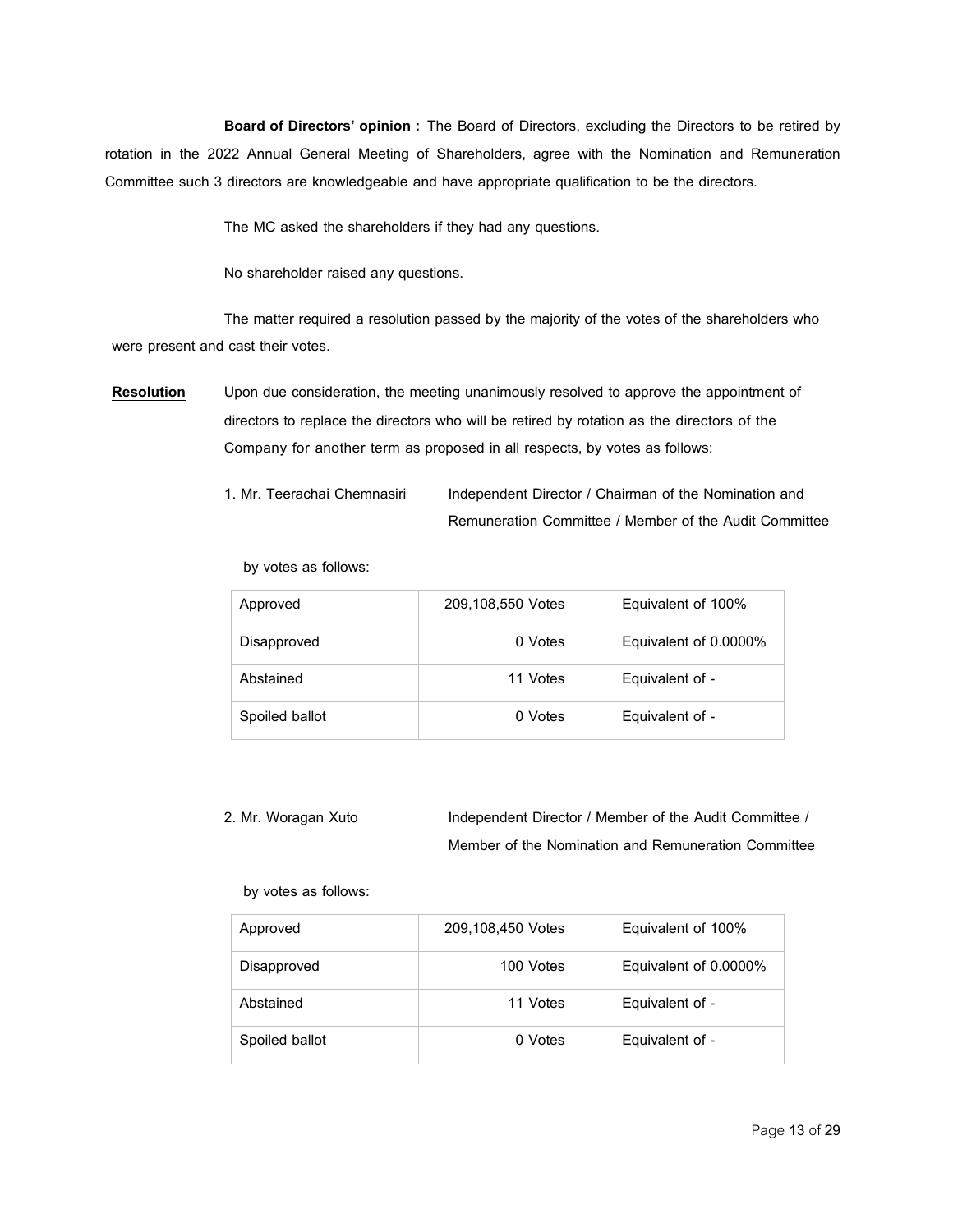**Board of Directors' opinion :** The Board of Directors, excluding the Directors to be retired by rotation in the 2022 Annual General Meeting of Shareholders, agree with the Nomination and Remuneration Committee such 3 directors are knowledgeable and have appropriate qualification to be the directors.

The MC asked the shareholders if they had any questions.

No shareholder raised any questions.

The matter required a resolution passed by the majority of the votes of the shareholders who were present and cast their votes.

**Resolution** Upon due consideration, the meeting unanimously resolved to approve the appointment of directors to replace the directors who will be retired by rotation as the directors of the Company for another term as proposed in all respects, by votes as follows:

> 1. Mr. Teerachai Chemnasiri Independent Director / Chairman of the Nomination and Remuneration Committee / Member of the Audit Committee

by votes as follows:

| Approved       | 209,108,550 Votes | Equivalent of 100%    |
|----------------|-------------------|-----------------------|
| Disapproved    | 0 Votes           | Equivalent of 0.0000% |
| Abstained      | 11 Votes          | Equivalent of -       |
| Spoiled ballot | 0 Votes           | Equivalent of -       |

2. Mr. Woragan Xuto Independent Director / Member of the Audit Committee / Member of the Nomination and Remuneration Committee

by votes as follows:

| Approved       | 209,108,450 Votes | Equivalent of 100%    |
|----------------|-------------------|-----------------------|
| Disapproved    | 100 Votes         | Equivalent of 0.0000% |
| Abstained      | 11 Votes          | Equivalent of -       |
| Spoiled ballot | 0 Votes           | Equivalent of -       |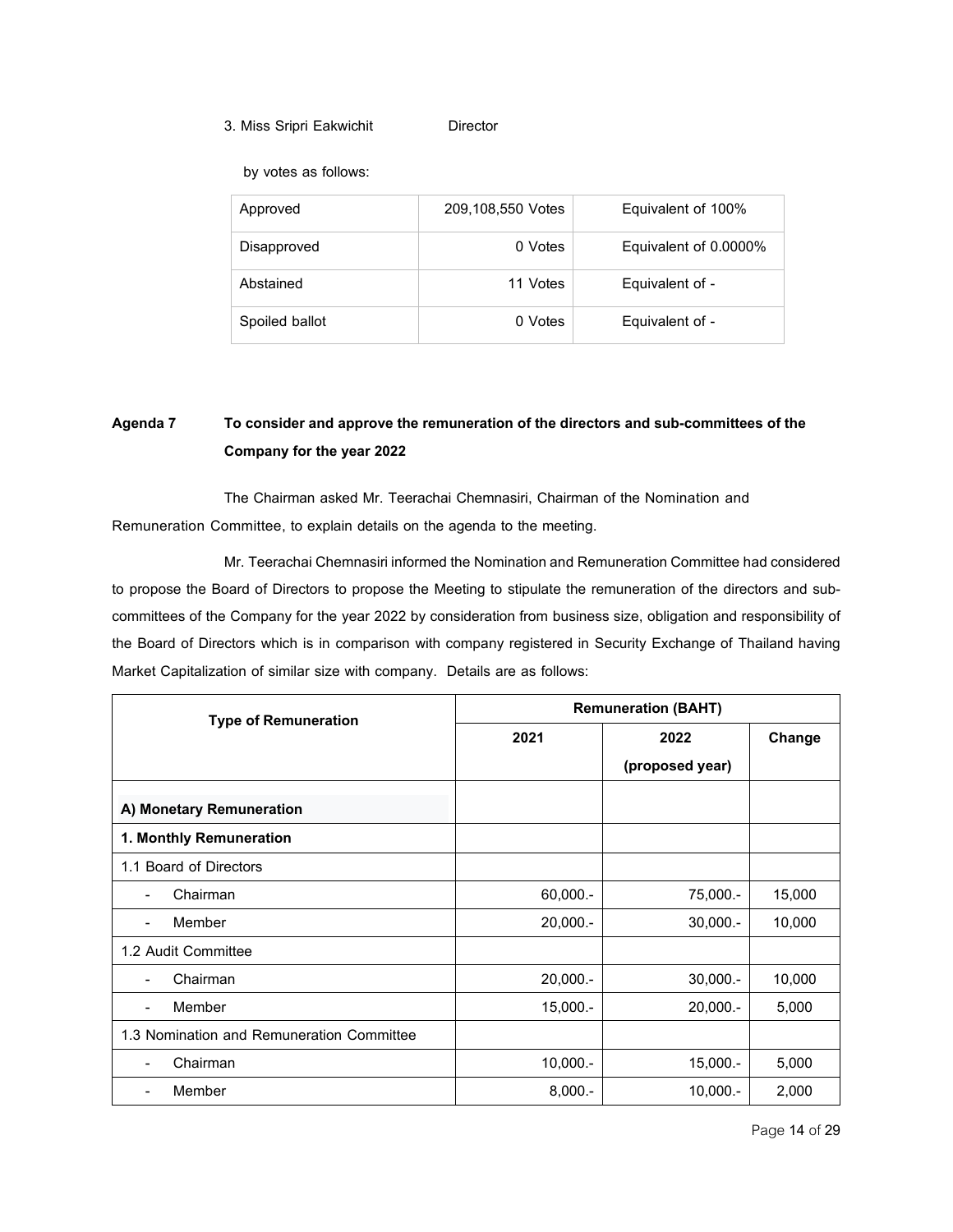### 3. Miss Sripri Eakwichit Director

by votes as follows:

| Approved       | 209,108,550 Votes | Equivalent of 100%    |
|----------------|-------------------|-----------------------|
| Disapproved    | 0 Votes           | Equivalent of 0.0000% |
| Abstained      | 11 Votes          | Equivalent of -       |
| Spoiled ballot | 0 Votes           | Equivalent of -       |

# **Agenda 7 Toconsiderandapprove the remunerationof thedirectorsandsub-committeesof the Company for the year 2022**

The Chairman asked Mr. Teerachai Chemnasiri, Chairman of the Nomination and Remuneration Committee, to explain details on the agenda to the meeting.

Mr. Teerachai Chemnasiri informed the Nomination and Remuneration Committee had considered to propose the Board of Directors to propose the Meeting to stipulate the remuneration of the directors and subcommittees of the Company for the year 2022 by consideration from business size, obligation and responsibility of the Board of Directors which is in comparison with company registered in Security Exchange of Thailand having Market Capitalization of similar size with company. Details are as follows:

| <b>Type of Remuneration</b>               | <b>Remuneration (BAHT)</b> |                 |        |  |
|-------------------------------------------|----------------------------|-----------------|--------|--|
|                                           | 2021                       | 2022            | Change |  |
|                                           |                            | (proposed year) |        |  |
| A) Monetary Remuneration                  |                            |                 |        |  |
| 1. Monthly Remuneration                   |                            |                 |        |  |
| 1.1 Board of Directors                    |                            |                 |        |  |
| Chairman<br>٠                             | 60,000.-                   | 75,000.-        | 15,000 |  |
| Member                                    | $20,000. -$                | $30,000. -$     | 10,000 |  |
| 1.2 Audit Committee                       |                            |                 |        |  |
| Chairman                                  | $20,000. -$                | $30,000. -$     | 10,000 |  |
| Member<br>-                               | $15,000. -$                | $20,000. -$     | 5,000  |  |
| 1.3 Nomination and Remuneration Committee |                            |                 |        |  |
| Chairman<br>٠                             | $10,000. -$                | $15,000. -$     | 5,000  |  |
| Member                                    | $8,000. -$                 | $10,000. -$     | 2,000  |  |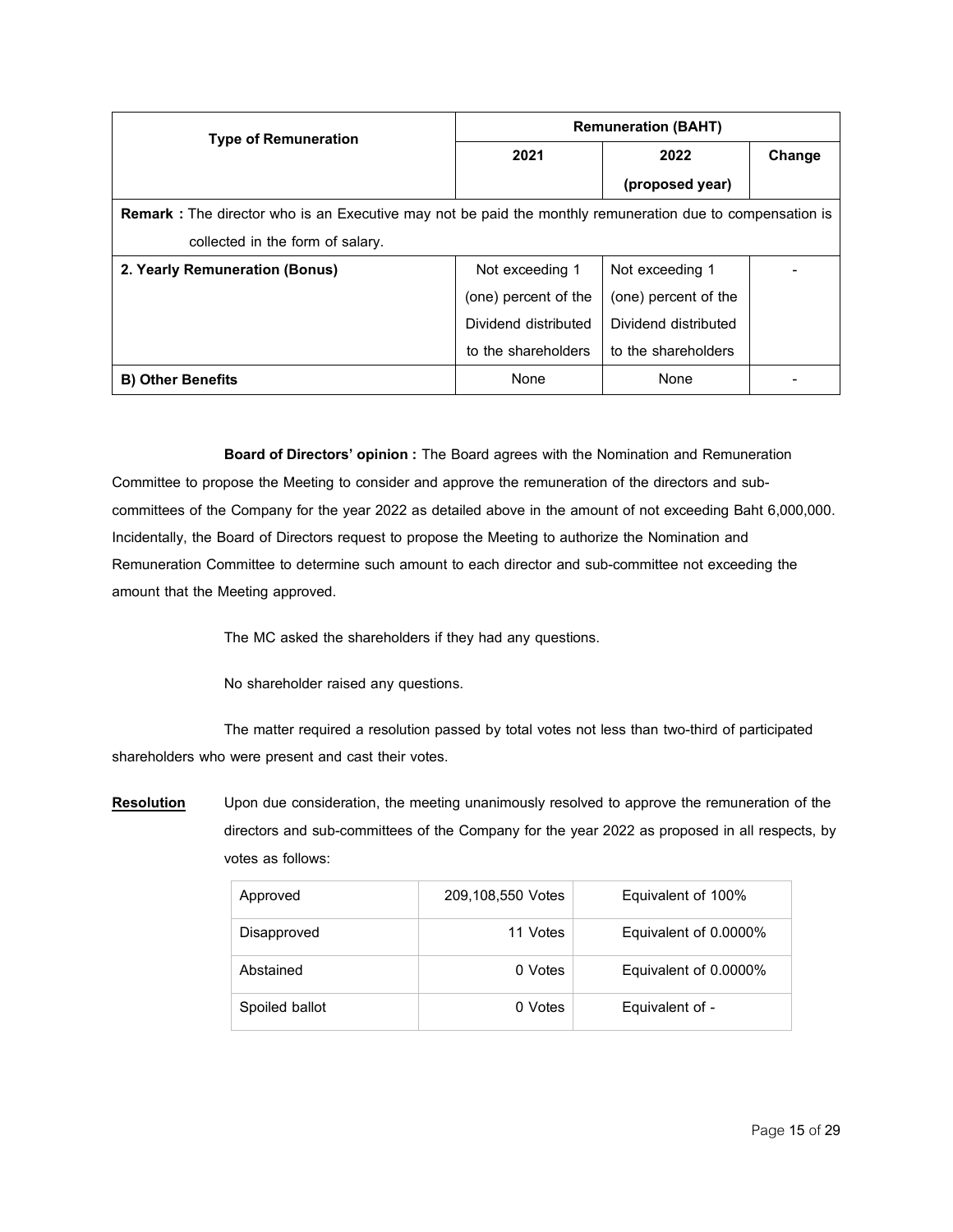| <b>Type of Remuneration</b>                                                                                      | <b>Remuneration (BAHT)</b> |                      |        |  |
|------------------------------------------------------------------------------------------------------------------|----------------------------|----------------------|--------|--|
|                                                                                                                  | 2021                       | 2022                 | Change |  |
|                                                                                                                  |                            | (proposed year)      |        |  |
| <b>Remark</b> : The director who is an Executive may not be paid the monthly remuneration due to compensation is |                            |                      |        |  |
| collected in the form of salary.                                                                                 |                            |                      |        |  |
| 2. Yearly Remuneration (Bonus)                                                                                   | Not exceeding 1            | Not exceeding 1      |        |  |
|                                                                                                                  | (one) percent of the       | (one) percent of the |        |  |
|                                                                                                                  | Dividend distributed       | Dividend distributed |        |  |
|                                                                                                                  | to the shareholders        | to the shareholders  |        |  |
| <b>B) Other Benefits</b>                                                                                         | None                       | None                 |        |  |

**Board of Directors' opinion: The Board agrees with the Nomination and Remuneration** Committee to propose the Meeting to consider and approve the remuneration of the directors and subcommittees of the Company for the year 2022 as detailed above in the amount of not exceeding Baht 6,000,000. Incidentally, the Board of Directors request to propose the Meeting to authorize the Nomination and Remuneration Committee to determine such amount to each director and sub-committee not exceeding the amount that the Meeting approved.

The MC asked the shareholders if they had any questions.

No shareholder raised any questions.

The matter required a resolution passed by total votes not less than two-third of participated shareholders who were present and cast their votes.

**Resolution** Upon due consideration, the meeting unanimously resolved to approve the remuneration of the directors and sub-committees of the Company for the year 2022 as proposed in all respects, by votes as follows:

| Approved       | 209,108,550 Votes | Equivalent of 100%    |
|----------------|-------------------|-----------------------|
| Disapproved    | 11 Votes          | Equivalent of 0.0000% |
| Abstained      | 0 Votes           | Equivalent of 0.0000% |
| Spoiled ballot | 0 Votes           | Equivalent of -       |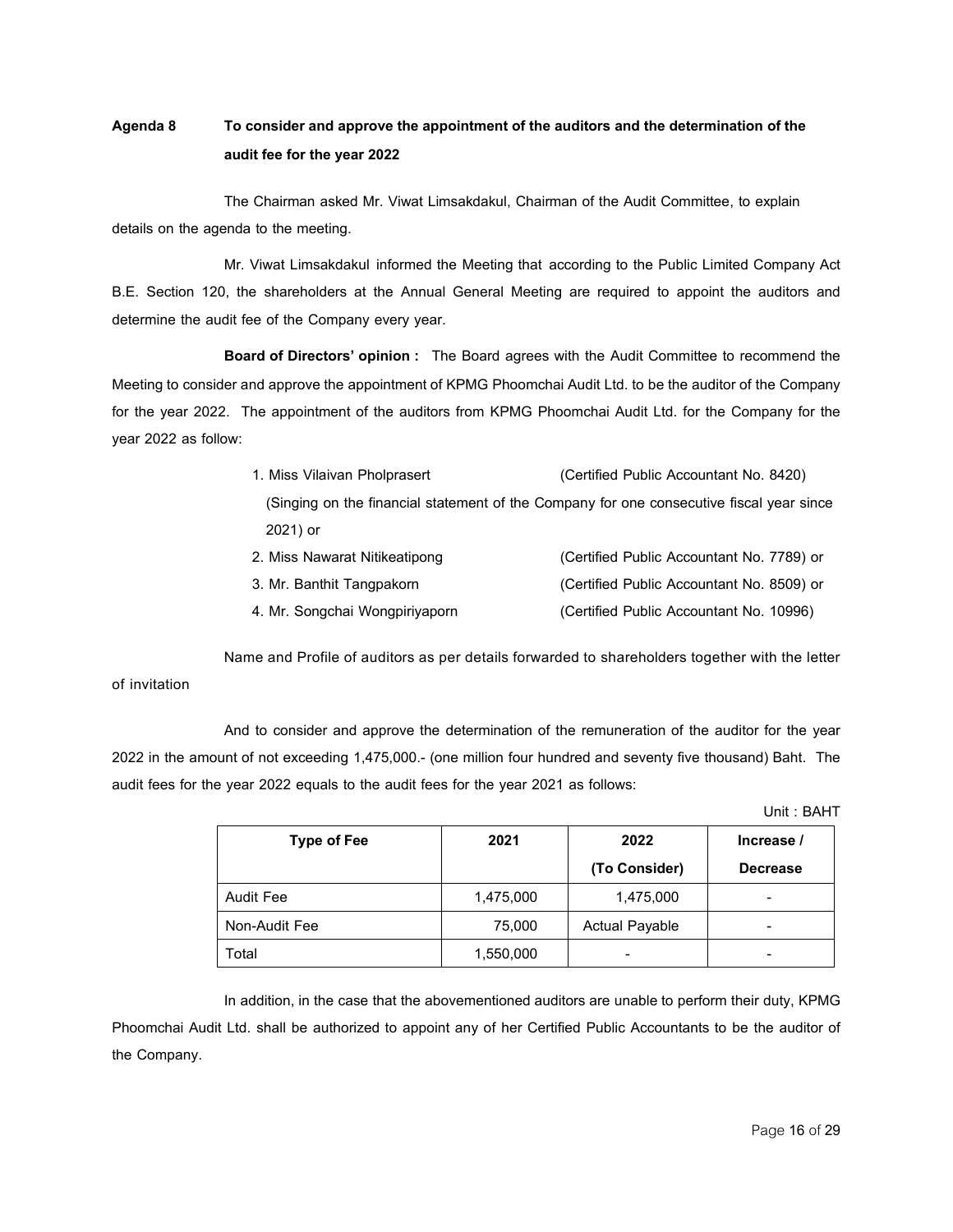# **Agenda 8 Toconsiderandapprove the appointmentof the auditors andthedeterminationof the audit fee for the year 2022**

The Chairman asked Mr. Viwat Limsakdakul, Chairman of the Audit Committee, to explain details on the agenda to the meeting.

Mr. Viwat Limsakdakul informed the Meeting that according to the Public Limited Company Act B.E. Section 120, the shareholders at the Annual General Meeting are required to appoint the auditors and determine the audit fee of the Company every year.

**Board of Directors' opinion:** The Board agrees with the Audit Committee to recommend the Meeting to consider and approve the appointment of KPMG Phoomchai Audit Ltd. to be the auditor of the Company for the year 2022. The appointment of the auditors from KPMG Phoomchai Audit Ltd. for the Company for the year 2022 as follow:

- 1. Miss Vilaivan Pholprasert (Certified Public Accountant No. 8420) (Singing on the financial statement of the Company for one consecutive fiscal year since 2021) or 2. Miss Nawarat Nitikeatipong (Certified Public Accountant No. 7789) or
- 3. Mr. Banthit Tangpakorn (Certified Public Accountant No. 8509) or 4. Mr. Songchai Wongpiriyaporn (Certified Public Accountant No. 10996)

Name and Profile of auditors as per details forwarded to shareholders together with the letter of invitation

And to consider and approve the determination of the remuneration of the auditor for the year 2022 in the amount of not exceeding 1,475,000.- (one million four hundred and seventy five thousand) Baht. The audit fees for the year 2022 equals to the audit fees for the year 2021 as follows:

Unit : BAHT

| <b>Type of Fee</b> | 2021      | 2022                  | Increase /               |
|--------------------|-----------|-----------------------|--------------------------|
|                    |           | (To Consider)         | <b>Decrease</b>          |
| Audit Fee          | 1,475,000 | 1,475,000             | ٠                        |
| Non-Audit Fee      | 75,000    | <b>Actual Payable</b> | -                        |
| Total              | 1,550,000 | -                     | $\overline{\phantom{0}}$ |

In addition, in the case that the abovementioned auditors are unable to perform their duty, KPMG Phoomchai Audit Ltd. shall be authorized to appoint any of her Certified Public Accountants to be the auditor of the Company.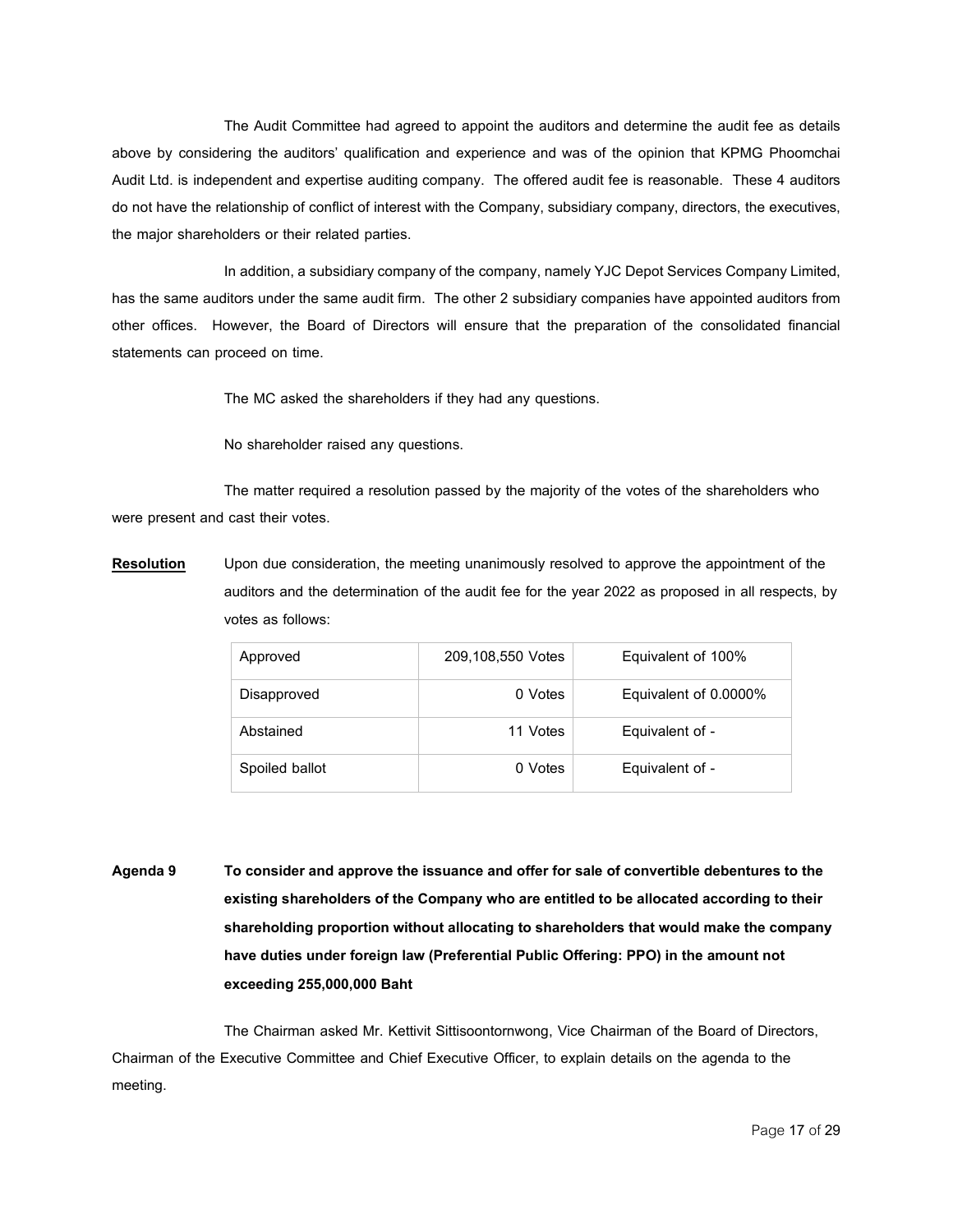The Audit Committee had agreed to appoint the auditors and determine the audit fee as details above by considering the auditors' qualification and experience and was of the opinion that KPMG Phoomchai Audit Ltd. is independent and expertise auditing company. The offered audit fee is reasonable. These 4 auditors do not have the relationship of conflict of interest with the Company, subsidiary company, directors, the executives, the major shareholders or their related parties.

In addition, a subsidiary company of the company, namely YJC Depot Services Company Limited, has the same auditors under the same audit firm. The other 2 subsidiary companies have appointed auditors from other offices. However, the Board of Directors will ensure that the preparation of the consolidated financial statements can proceed on time.

The MC asked the shareholders if they had any questions.

No shareholder raised any questions.

The matter required a resolution passed by the majority of the votes of the shareholders who were present and cast their votes.

**Resolution** Upon due consideration, the meeting unanimously resolved to approve the appointment of the auditors and the determination of the audit fee for the year 2022 as proposed in all respects, by votes as follows:

| Approved       | 209,108,550 Votes | Equivalent of 100%    |
|----------------|-------------------|-----------------------|
| Disapproved    | 0 Votes           | Equivalent of 0.0000% |
| Abstained      | 11 Votes          | Equivalent of -       |
| Spoiled ballot | 0 Votes           | Equivalent of -       |

**Agenda 9 Toconsiderandapprove the issuanceandoffer for saleofconvertibledebenturestothe existingshareholdersof the Company whoare entitledtobeallocatedaccordingtotheir shareholding proportion without allocating to shareholders that would make the company havedutiesunder foreignlaw (Preferential Public Offering: PPO) inthe amountnot exceeding255,000,000 Baht**

The Chairman asked Mr. Kettivit Sittisoontornwong, Vice Chairman of the Board of Directors, Chairman of the Executive Committee and Chief Executive Officer, to explain details on the agenda to the meeting.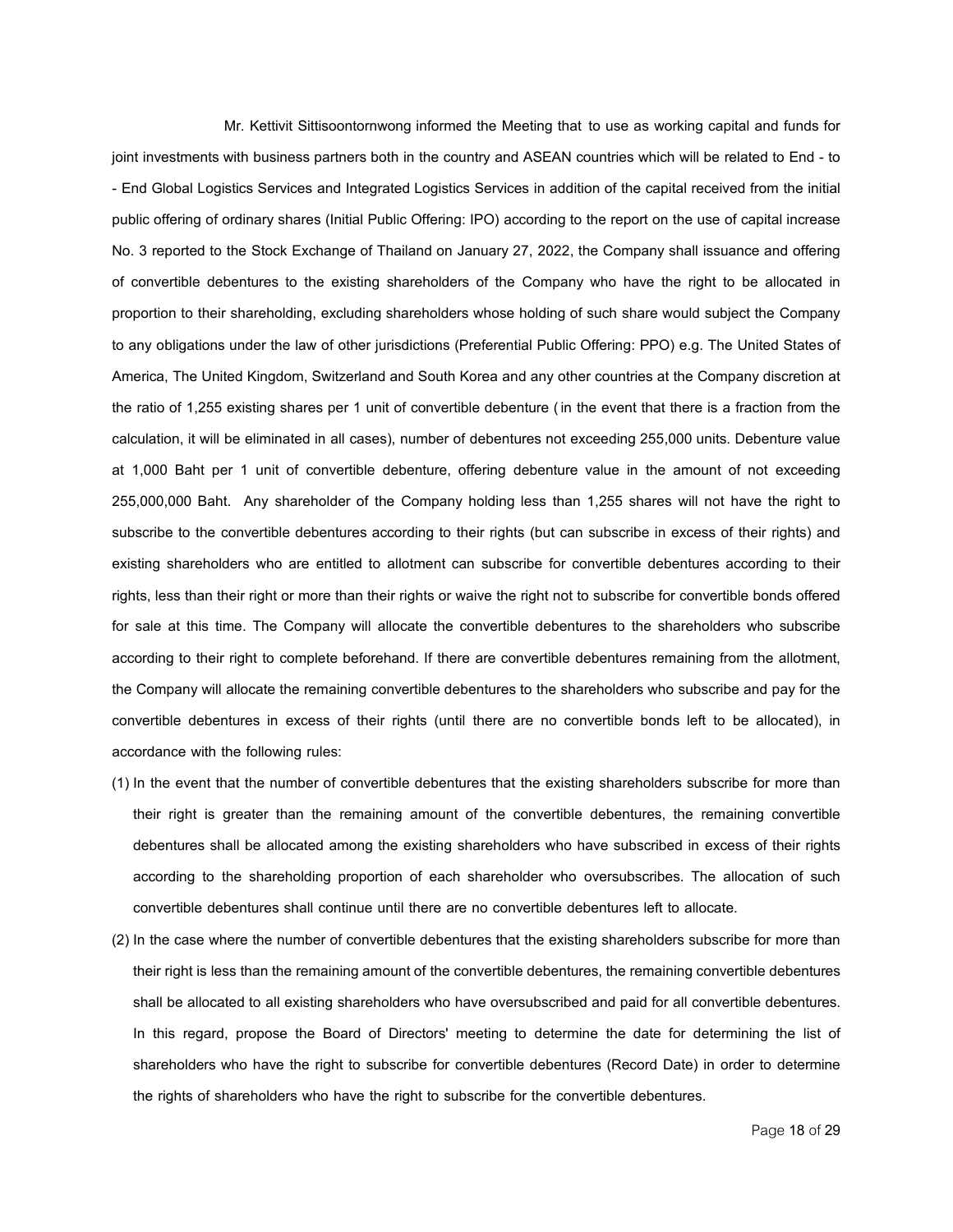Mr. Kettivit Sittisoontornwong informed the Meeting that to use as working capital and funds for joint investments with business partners both in the country and ASEAN countries which will be related to End - to - End Global Logistics Services and Integrated Logistics Services in addition of the capital received from the initial public offering of ordinary shares (Initial Public Offering: IPO) according to the report on the use of capital increase No. 3 reported to the Stock Exchange of Thailand on January 27, 2022, the Company shall issuance and offering of convertible debentures to the existing shareholders of the Company who have the right to be allocated in proportion to their shareholding, excluding shareholders whose holding of such share would subject the Company to any obligations under the law of other jurisdictions (Preferential Public Offering: PPO) e.g. The United States of America,The United Kingdom, Switzerland and South Korea and any other countries at the Company discretion at the ratio of 1,255 existing shares per 1 unit of convertible debenture (in the event that there is a fraction from the calculation, it will be eliminated in all cases), number of debentures not exceeding 255,000 units. Debenture value at 1,000 Baht per 1 unit of convertible debenture, offering debenture value in the amount of not exceeding 255,000,000 Baht. Any shareholder of the Company holding less than 1,255 shares will not have the right to subscribe to the convertible debentures according to their rights (but can subscribe in excess of their rights) and existing shareholders who are entitled to allotment can subscribe for convertible debentures according to their rights, less than their right or more than their rights or waive the right not to subscribe for convertible bonds offered for sale at this time. The Company will allocate the convertible debentures to the shareholders who subscribe according to their right to complete beforehand. If there are convertible debentures remaining from the allotment, the Company will allocate the remaining convertible debentures to the shareholders who subscribe and pay for the convertible debentures in excess of their rights (until there are no convertible bonds left to be allocated), in accordance with the following rules:

- (1) In the event that the number of convertible debentures that the existing shareholders subscribe for more than their right is greater than the remaining amount of the convertible debentures, the remaining convertible debentures shall be allocated among the existing shareholders who have subscribed in excess of their rights according to the shareholding proportion of each shareholder who oversubscribes. The allocation of such convertible debentures shall continue until there are no convertible debentures left to allocate.
- (2) In the case where the number of convertible debentures that the existing shareholders subscribe for more than their right is less than the remaining amount of the convertible debentures, the remaining convertible debentures shall be allocated to all existing shareholders who have oversubscribed and paid for all convertible debentures. In this regard, propose the Board of Directors' meeting to determine the date for determining the list of shareholders who have the right to subscribe for convertible debentures (Record Date) in order to determine the rights of shareholders who have the right to subscribe for the convertible debentures.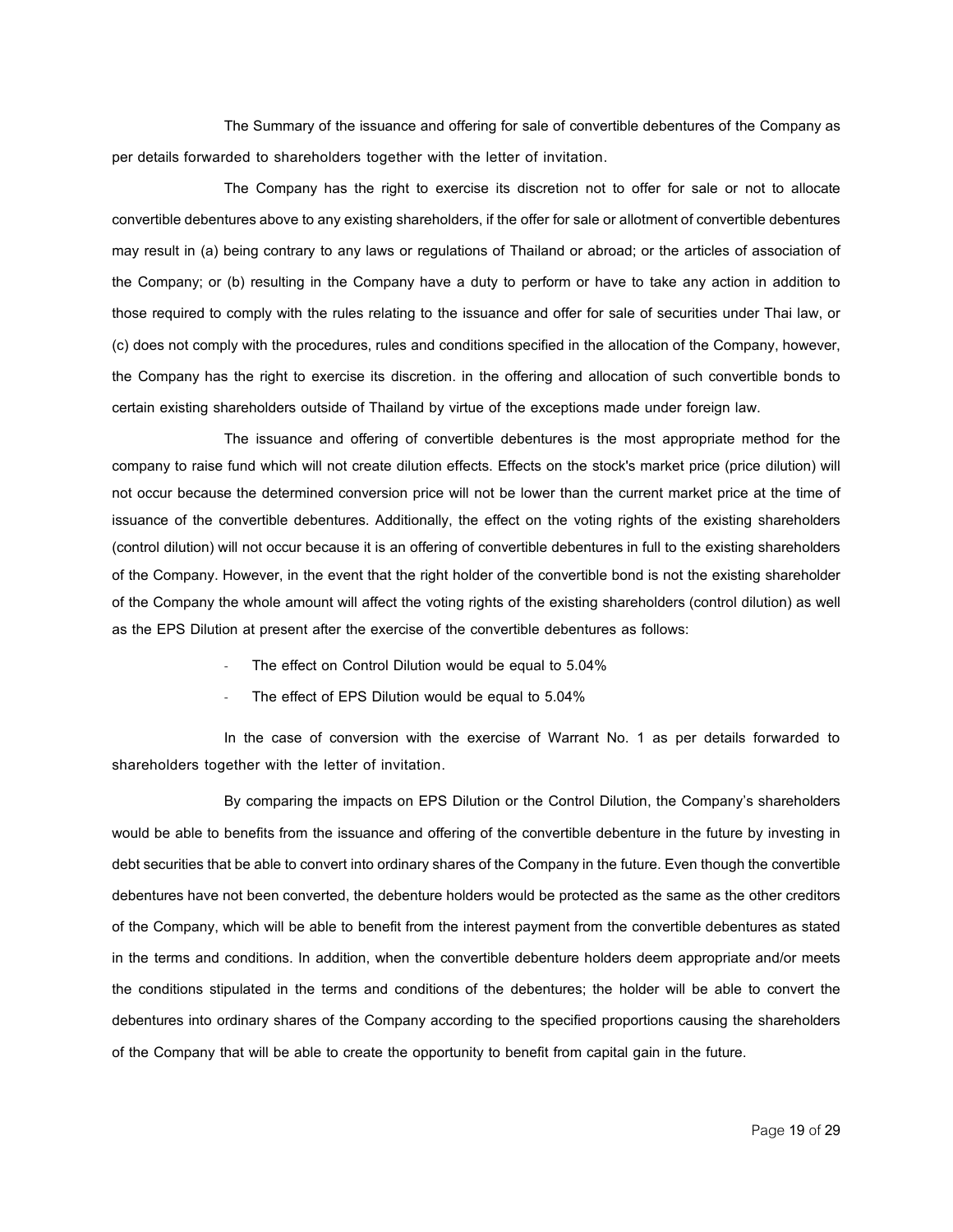The Summary of the issuance and offering for sale of convertible debentures of the Company as per details forwarded to shareholders together with the letter of invitation.

The Company has the right to exercise its discretion not to offer for sale or not to allocate convertible debentures above to any existing shareholders, if the offer for sale or allotment of convertible debentures may result in (a) being contrary to any laws or regulations of Thailand or abroad; or the articles of association of the Company; or (b) resulting in the Company have a duty to perform or have to take any action in addition to those required to comply with the rules relating to the issuance and offer for sale of securities under Thai law, or (c) does not comply with the procedures, rules and conditions specified in the allocation of the Company, however, the Company has the right to exercise its discretion. in the offering and allocation of such convertible bonds to certain existing shareholders outside of Thailand by virtue of the exceptions made under foreign law.

The issuance and offering of convertible debentures is the most appropriate method for the company to raise fund which will not create dilution effects. Effects on the stock's market price (price dilution) will not occur because the determined conversion price will not be lower than the current market price at the time of issuance of the convertible debentures. Additionally, the effect on the voting rights of the existing shareholders (control dilution) will not occur because it is an offering of convertible debentures in full to the existing shareholders of the Company. However, in the event that the right holder of the convertible bond is not the existing shareholder of the Company the whole amount will affect the voting rights of the existing shareholders (control dilution) as well as the EPS Dilution at present after the exercise of the convertible debentures as follows:

- The effect on Control Dilution would be equal to 5.04%
- The effect of EPS Dilution would be equal to 5.04%

In the case of conversion with the exercise of Warrant No. 1 as per details forwarded to shareholders together with the letter of invitation.

By comparing the impacts on EPS Dilution or the Control Dilution, the Company's shareholders would be able to benefits from the issuance and offering of the convertible debenture in the future by investing in debt securities that be able to convert into ordinary shares of the Company in the future. Even though the convertible debentures have not been converted, the debenture holders would be protected as the same as the other creditors of the Company, which will be able to benefit from the interest payment from the convertible debentures as stated in the terms and conditions. In addition, when the convertible debenture holders deem appropriate and/or meets the conditions stipulated in the terms and conditions of the debentures; the holder will be able to convert the debentures into ordinary shares of the Company according to the specified proportions causing the shareholders of the Company that will be able to create the opportunity to benefit from capital gain in the future.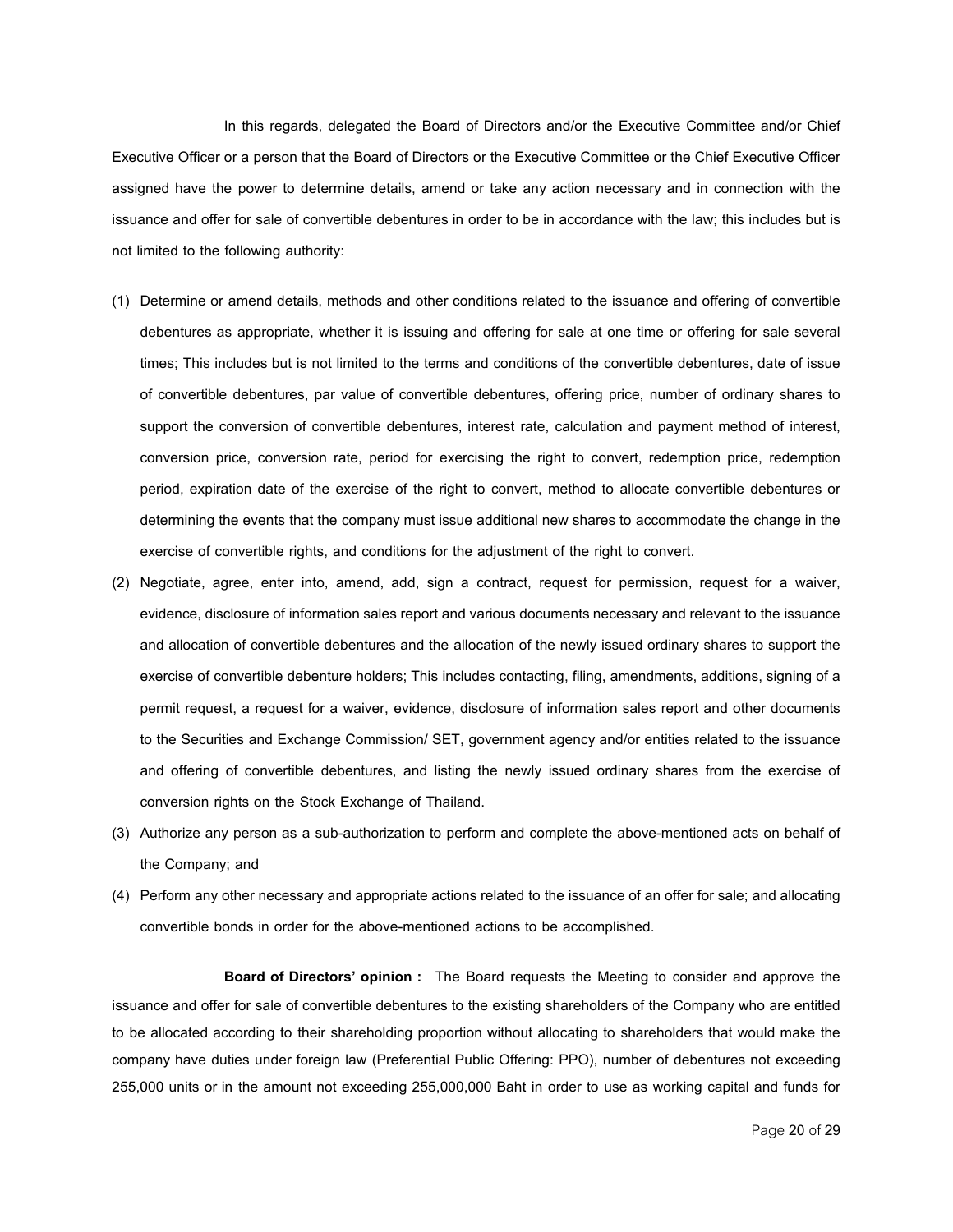In this regards, delegated the Board of Directors and/or the Executive Committee and/or Chief Executive Officer or a person that the Board of Directors or the Executive Committee or the Chief Executive Officer assigned have the power to determine details, amend or take any action necessary and in connection with the issuance and offer for sale of convertible debentures in order to be in accordance with the law; this includes but is not limited to the following authority:

- (1) Determine or amend details, methods and other conditions related to the issuance and offering of convertible debentures as appropriate, whether it is issuing and offering for sale at one time or offering for sale several times; This includes but is not limited to the terms and conditions of the convertible debentures, date of issue of convertible debentures, par value of convertible debentures, offering price, number of ordinary shares to support the conversion of convertible debentures, interest rate, calculation and payment method of interest, conversion price, conversion rate, period for exercising the right to convert, redemption price, redemption period, expiration date of the exercise of the right to convert, method to allocate convertible debentures or determining the events that the company must issue additional new shares to accommodate the change in the exercise of convertible rights, and conditions for the adjustment of the right to convert.
- (2) Negotiate, agree, enter into, amend, add, sign a contract, request for permission, request for a waiver, evidence, disclosure of information sales report and various documents necessary and relevant to the issuance and allocation of convertible debentures and the allocation of the newly issued ordinary shares to support the exercise of convertible debenture holders; This includes contacting, filing, amendments, additions, signing of a permit request, a request for a waiver, evidence, disclosure of information sales report and other documents to the Securities and Exchange Commission/ SET, government agency and/or entities related to the issuance and offering of convertible debentures, and listing the newly issued ordinary shares from the exercise of conversion rights on the Stock Exchange of Thailand.
- (3) Authorize any person as a sub-authorization to perform and complete the above-mentioned acts on behalf of the Company; and
- (4) Perform any other necessary and appropriate actions related to the issuance of an offer for sale; and allocating convertible bonds in order for the above-mentioned actions to be accomplished.

**Board of Directors' opinion :** The Board requests the Meeting to consider and approve the issuance and offer for sale of convertible debentures to the existing shareholders of the Company who are entitled to be allocated according to their shareholding proportion without allocating to shareholders that would make the company have duties under foreign law (Preferential Public Offering: PPO), number of debentures not exceeding 255,000 units or in the amount not exceeding 255,000,000 Baht in order to use as working capital and funds for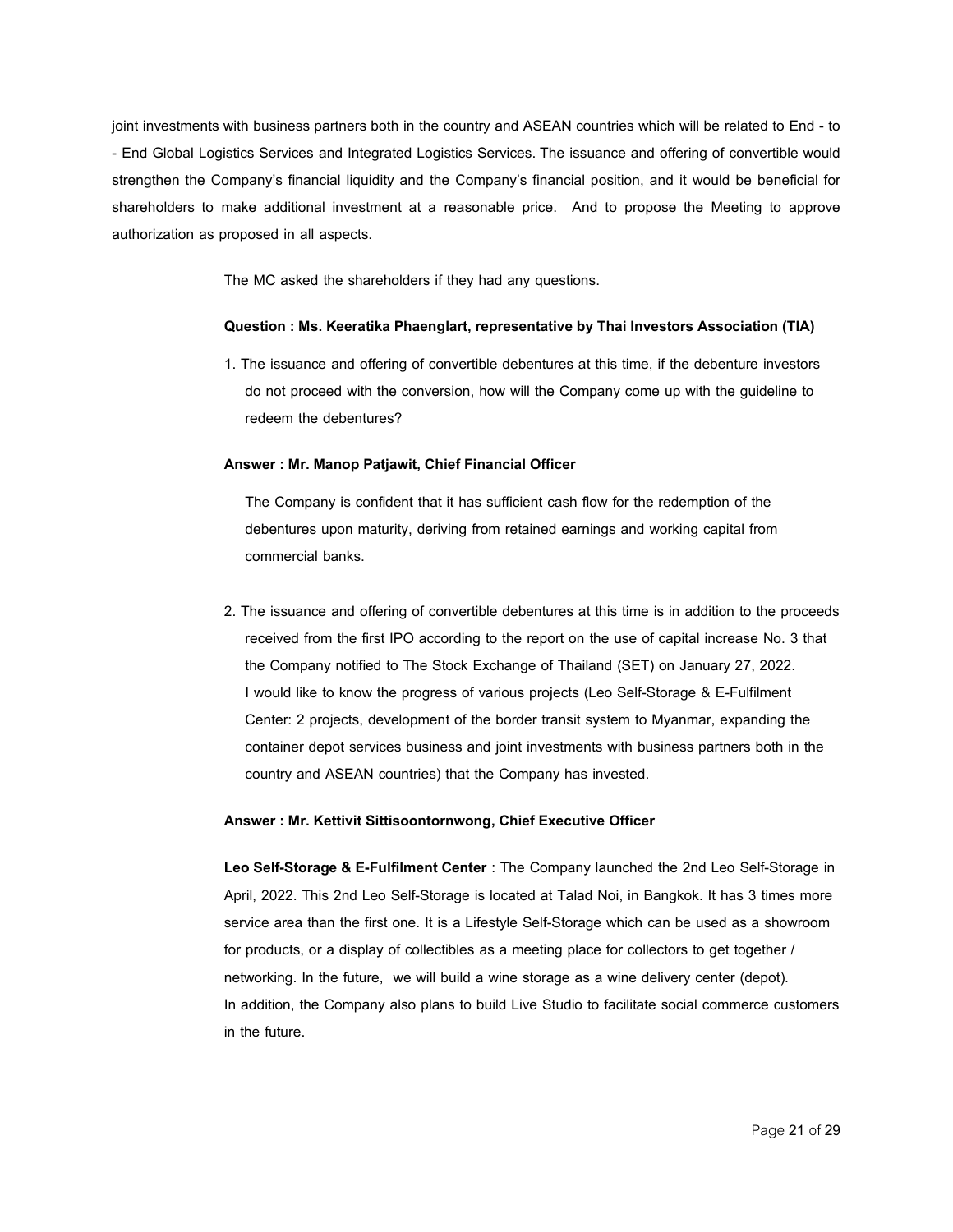joint investments with business partners both in the country and ASEAN countries which will be related to End - to - End Global Logistics Services and Integrated Logistics Services.The issuance and offering of convertible would strengthen the Company's financial liquidity and the Company's financial position, and it would be beneficial for shareholders to make additional investment at a reasonable price. And to propose the Meeting to approve authorization as proposed in all aspects.

The MC asked the shareholders if they had any questions.

#### **Question: Ms. Keeratika Phaenglart, representativebyThai Investors Association(TIA)**

1. The issuance and offering of convertible debentures at this time, if the debenture investors do not proceed with the conversion, how will the Company come up with the guideline to redeem the debentures?

#### **Answer : Mr. Manop Patjawit, ChiefFinancial Officer**

The Company is confident that it has sufficient cash flow for the redemption of the debentures upon maturity, deriving from retained earnings and working capital from commercial banks.

2. The issuance and offering of convertible debentures at this time is in addition to the proceeds received from the first IPO according to the report on the use of capital increase No. 3 that the Company notified to The Stock Exchange of Thailand (SET) on January 27, 2022. I would like to know the progress of various projects (Leo Self-Storage & E-Fulfilment Center: 2 projects, development of the border transit system to Myanmar, expanding the container depot services business and joint investments with business partners both in the country and ASEAN countries) that the Company has invested.

#### **Answer : Mr. Kettivit Sittisoontornwong, Chief Executive Officer**

**Leo Self-Storage & E-Fulfilment Center** : The Company launched the 2nd Leo Self-Storage in April, 2022. This 2nd Leo Self-Storage is located at Talad Noi, in Bangkok. It has 3 times more service area than the first one. It is a Lifestyle Self-Storage which can be used as a showroom for products, or a display of collectibles as a meeting place for collectors to get together / networking. In the future, we will build a wine storage as a wine delivery center (depot). In addition, the Company also plans to build Live Studio to facilitate social commerce customers in the future.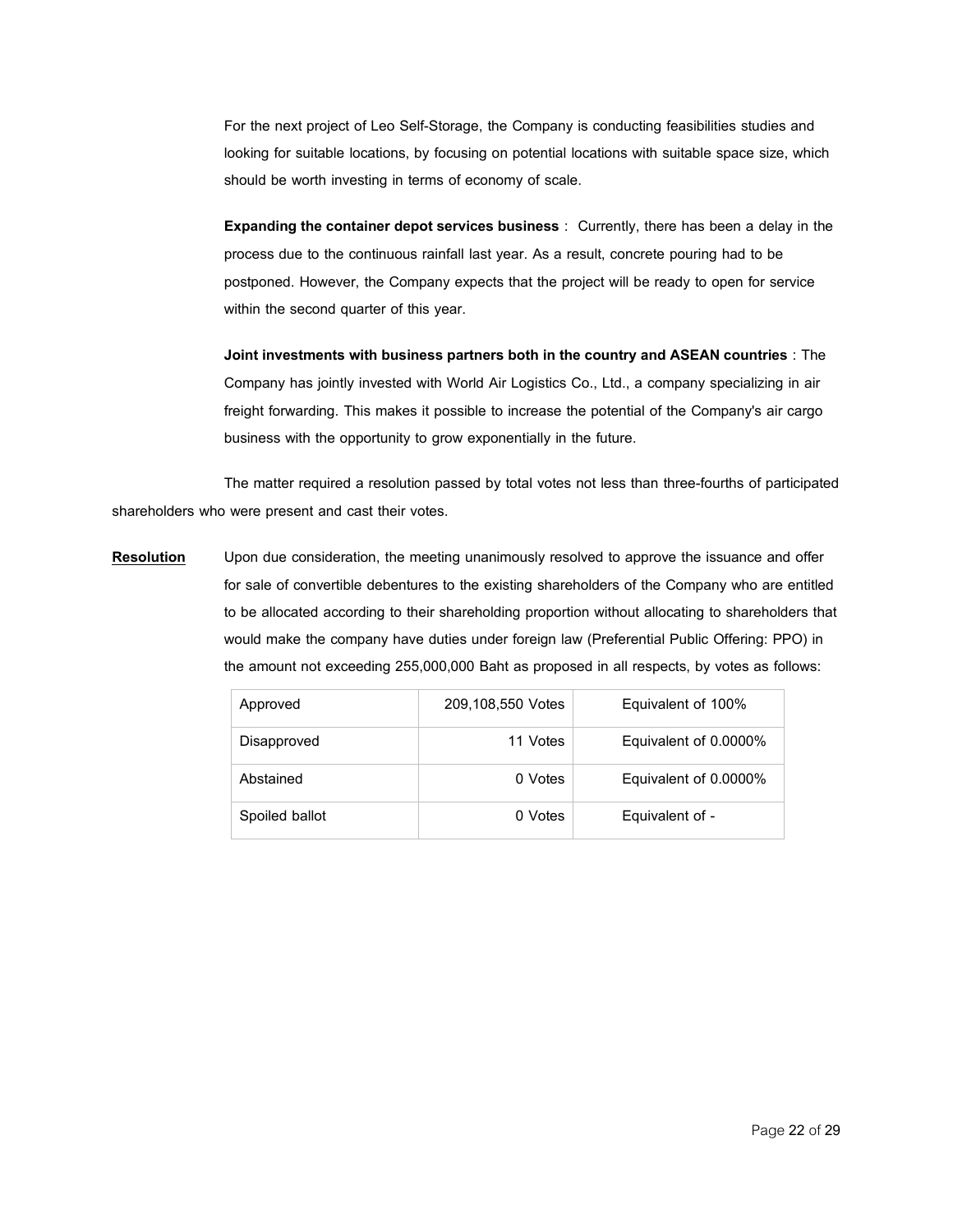For the next project of Leo Self-Storage, the Company is conducting feasibilities studies and looking for suitable locations, by focusing on potential locations with suitable space size, which should be worth investing in terms of economy of scale.

**Expanding the container depot services business** : Currently, there has been a delay in the process due to the continuous rainfall last year. As a result, concrete pouring had to be postponed. However, the Company expects that the project will be ready to open for service within the second quarter of this year.

**Joint investments with business partners both in the country and ASEAN countries** : The Company has jointly invested with World Air Logistics Co., Ltd., a company specializing in air freight forwarding. This makes it possible to increase the potential of the Company's air cargo business with the opportunity to grow exponentially in the future.

The matter required a resolution passed by total votes not less than three-fourths of participated shareholders who were present and cast their votes.

**Resolution** Upon due consideration, the meeting unanimously resolved to approve the issuance and offer for sale of convertible debentures to the existing shareholders of the Company who are entitled to be allocated according to their shareholding proportion without allocating to shareholders that would make the company have duties under foreign law (Preferential Public Offering: PPO) in the amount not exceeding 255,000,000 Baht as proposed in all respects, by votes as follows:

| Approved       | 209,108,550 Votes | Equivalent of 100%    |
|----------------|-------------------|-----------------------|
| Disapproved    | 11 Votes          | Equivalent of 0.0000% |
| Abstained      | 0 Votes           | Equivalent of 0.0000% |
| Spoiled ballot | 0 Votes           | Equivalent of -       |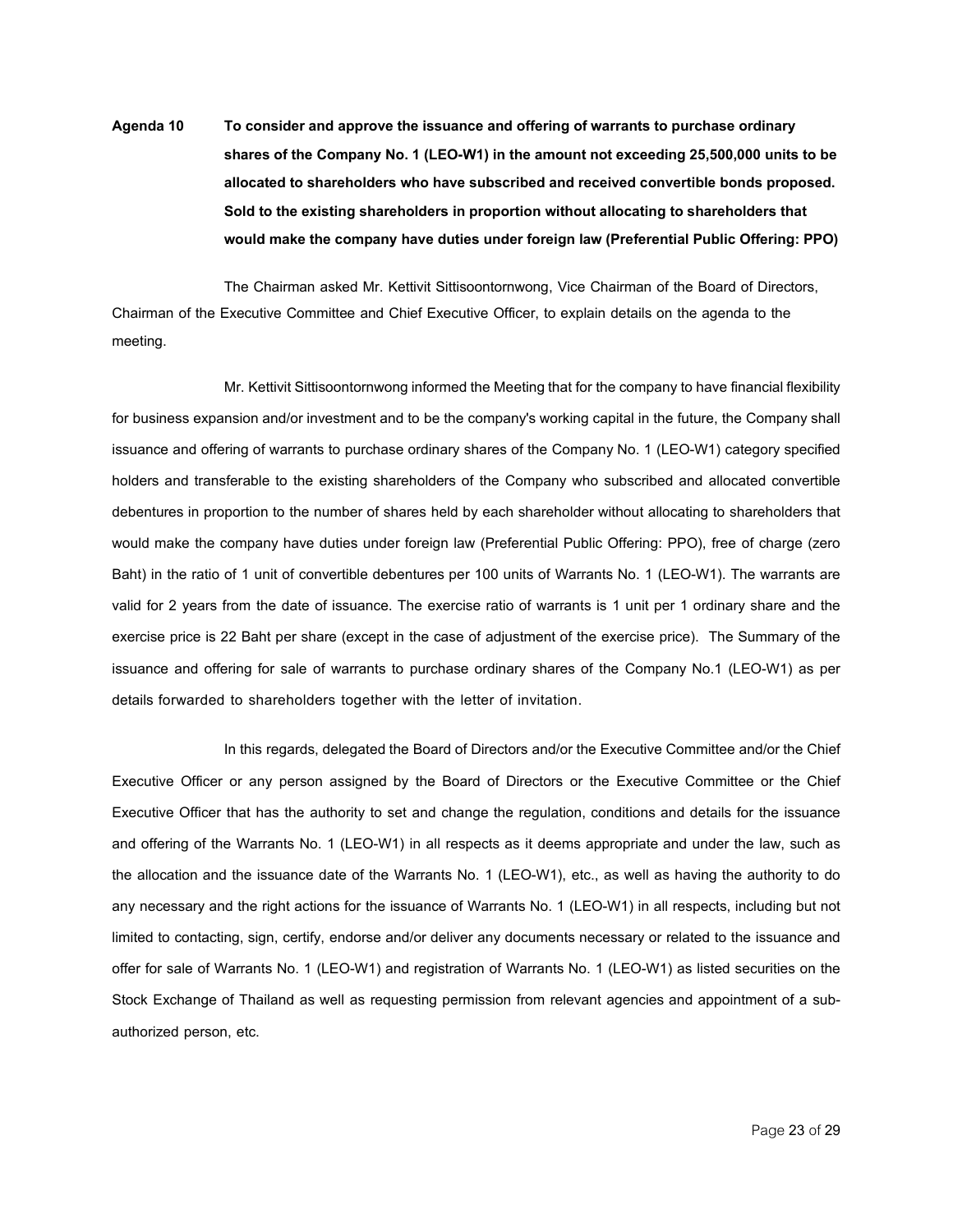**Agenda 10 Toconsiderandapprove the issuanceandofferingof warrants topurchaseordinary sharesof the Company No.1 (LEO-W1) intheamountnotexceeding25,500,000units tobe** allocated to shareholders who have subscribed and received convertible bonds proposed. **Soldtothe existingshareholders inproportion withoutallocatingtoshareholders that would make the companyhavedutiesunder foreignlaw (Preferential Public Offering: PPO)**

The Chairman asked Mr. Kettivit Sittisoontornwong, Vice Chairman of the Board of Directors, Chairman of the Executive Committee and Chief Executive Officer, to explain details on the agenda to the meeting.

Mr. Kettivit Sittisoontornwong informed the Meeting that for the company to have financial flexibility for business expansion and/or investment and to be the company's working capital in the future, the Company shall issuance and offering of warrants to purchase ordinary shares of the Company No. 1 (LEO-W1) category specified holders and transferable to the existing shareholders of the Company who subscribed and allocated convertible debentures in proportion to the number of shares held by each shareholder without allocating to shareholders that would make the company have duties under foreign law (Preferential Public Offering: PPO), free of charge (zero Baht) in the ratio of 1 unit of convertible debentures per 100 units of Warrants No. 1 (LEO-W1). The warrants are valid for 2 years from the date of issuance. The exercise ratio of warrants is 1 unit per 1 ordinary share and the exercise price is 22 Baht per share (except in the case of adjustment of the exercise price). The Summary of the issuance and offering for sale of warrants to purchase ordinary shares of the Company No.1 (LEO-W1) as per details forwarded to shareholders together with the letter of invitation.

In this regards, delegated the Board of Directors and/or the Executive Committee and/or the Chief Executive Officer or any person assigned by the Board of Directors or the Executive Committee or the Chief Executive Officer that has the authority to set and change the regulation, conditions and details for the issuance and offering of the Warrants No. 1 (LEO-W1) in all respects as it deems appropriate and under the law, such as the allocation and the issuance date of the Warrants No. 1 (LEO-W1), etc., as well as having the authority to do any necessary and the right actions for the issuance of Warrants No. 1 (LEO-W1) in all respects, including but not limited to contacting, sign, certify, endorse and/or deliver any documents necessary or related to the issuance and offer for sale of Warrants No. 1 (LEO-W1) and registration of Warrants No. 1 (LEO-W1) as listed securities on the Stock Exchange of Thailand as well as requesting permission from relevant agencies and appointment of a subauthorized person, etc.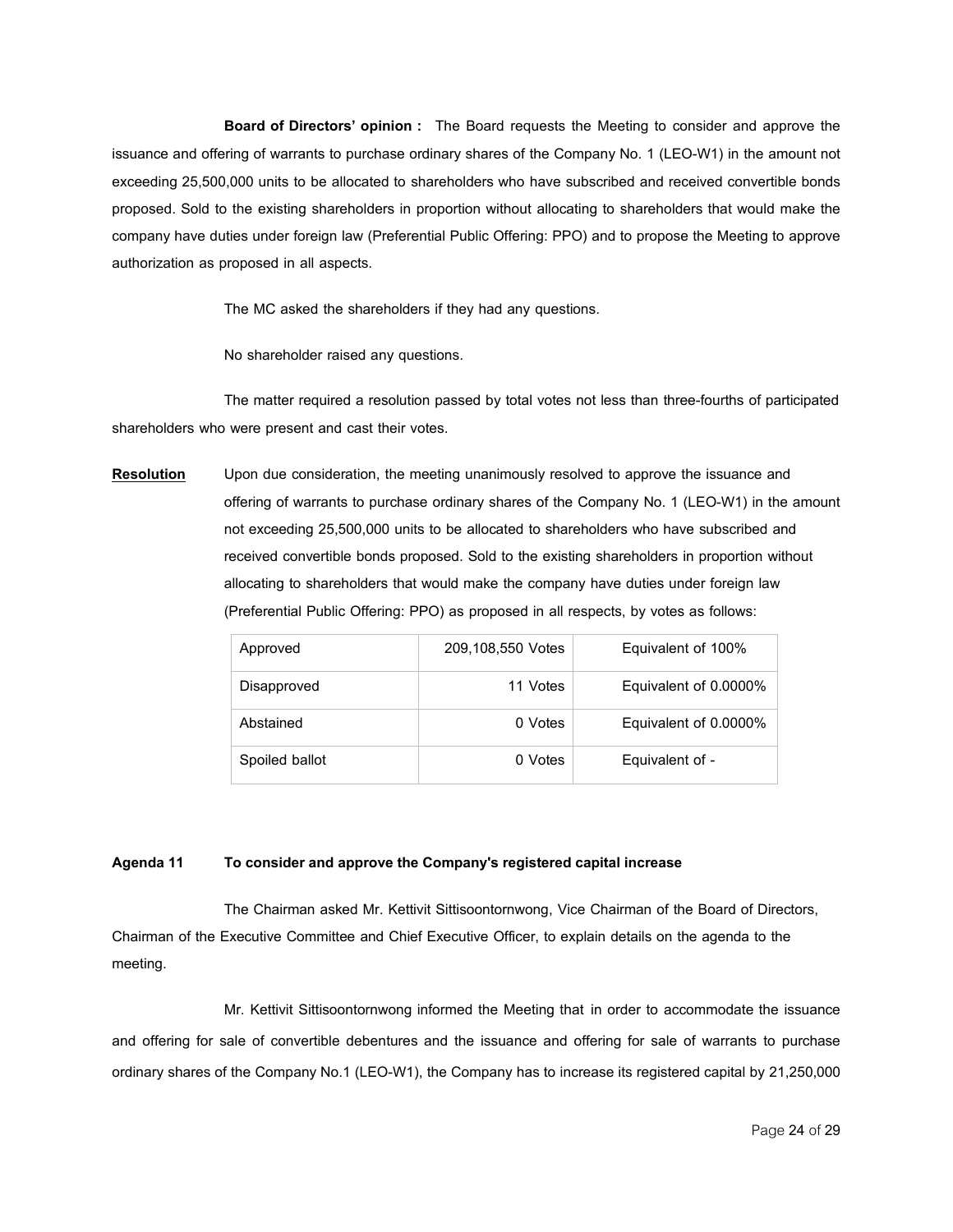**Board of Directors' opinion :** The Board requests the Meeting to consider and approve the issuance and offering of warrants to purchase ordinary shares of the Company No. 1 (LEO-W1) in the amount not exceeding 25,500,000 units to be allocated to shareholders who have subscribed and received convertible bonds proposed. Sold to the existing shareholders in proportion without allocating to shareholders that would make the company have duties under foreign law (Preferential Public Offering: PPO) and to propose the Meeting to approve authorization as proposed in all aspects.

The MC asked the shareholders if they had any questions.

No shareholder raised any questions.

The matter required a resolution passed by total votes not less than three-fourths of participated shareholders who were present and cast their votes.

**Resolution** Upon due consideration, the meeting unanimously resolved to approve the issuance and offering of warrants to purchase ordinary shares of the Company No. 1 (LEO-W1) in the amount not exceeding 25,500,000 units to be allocated to shareholders who have subscribed and received convertible bonds proposed. Sold to the existing shareholders in proportion without allocating to shareholders that would make the company have duties under foreign law (Preferential Public Offering: PPO) as proposed in all respects, by votes as follows:

| Approved       | 209,108,550 Votes | Equivalent of 100%    |
|----------------|-------------------|-----------------------|
| Disapproved    | 11 Votes          | Equivalent of 0.0000% |
| Abstained      | 0 Votes           | Equivalent of 0.0000% |
| Spoiled ballot | 0 Votes           | Equivalent of -       |

## **Agenda 11 Toconsiderandapprove the Company's registeredcapital increase**

The Chairman asked Mr. Kettivit Sittisoontornwong, Vice Chairman of the Board of Directors, Chairman of the Executive Committee and Chief Executive Officer, to explain details on the agenda to the meeting.

Mr. Kettivit Sittisoontornwong informed the Meeting that in order to accommodate the issuance and offering for sale of convertible debentures and the issuance and offering for sale of warrants to purchase ordinary shares of the Company No.1 (LEO-W1), the Company has to increase its registered capital by 21,250,000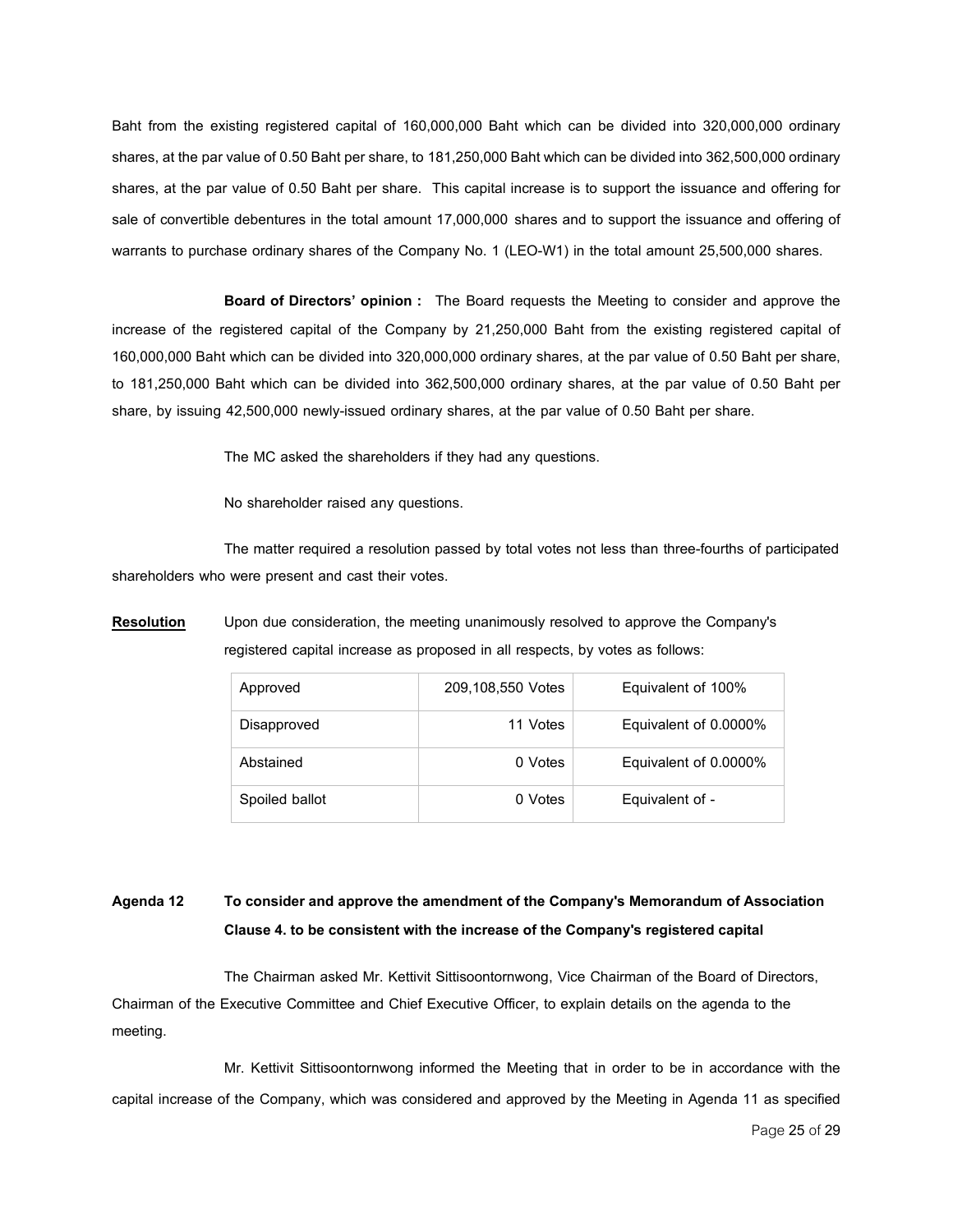Baht from the existing registered capital of 160,000,000 Baht which can be divided into 320,000,000 ordinary shares, at the par value of 0.50 Baht per share, to 181,250,000 Baht which can be divided into 362,500,000 ordinary shares, at the par value of 0.50 Baht per share. This capital increase is to support the issuance and offering for sale of convertible debentures in the total amount 17,000,000 shares and to support the issuance and offering of warrants to purchase ordinary shares of the Company No. 1 (LEO-W1) in the total amount 25,500,000 shares.

**Board of Directors' opinion :** The Board requests the Meeting to consider and approve the increase of the registered capital of the Company by 21,250,000 Baht from the existing registered capital of 160,000,000 Baht which can be divided into 320,000,000 ordinary shares, at the par value of 0.50 Baht per share, to 181,250,000 Baht which can be divided into 362,500,000 ordinary shares, at the par value of 0.50 Baht per share, by issuing 42,500,000 newly-issued ordinary shares, at the par value of 0.50 Baht per share.

The MC asked the shareholders if they had any questions.

No shareholder raised any questions.

The matter required a resolution passed by total votes not less than three-fourths of participated shareholders who were present and cast their votes.

**Resolution** Upon due consideration, the meeting unanimously resolved to approve the Company's registered capital increase as proposed in all respects, by votes as follows:

| Approved       | 209,108,550 Votes | Equivalent of 100%    |
|----------------|-------------------|-----------------------|
| Disapproved    | 11 Votes          | Equivalent of 0.0000% |
| Abstained      | 0 Votes           | Equivalent of 0.0000% |
| Spoiled ballot | 0 Votes           | Equivalent of -       |

## **Agenda 12 Toconsiderandapprove the amendmentof the Company's Memorandum of Association Clause4. tobeconsistent withthe increaseof the Company's registeredcapital**

The Chairman asked Mr. Kettivit Sittisoontornwong, Vice Chairman of the Board of Directors, Chairman of the Executive Committee and Chief Executive Officer, to explain details on the agenda to the meeting.

Mr. Kettivit Sittisoontornwong informed the Meeting that in order to be in accordance with the capital increase of the Company, which was considered and approved by the Meeting in Agenda 11 as specified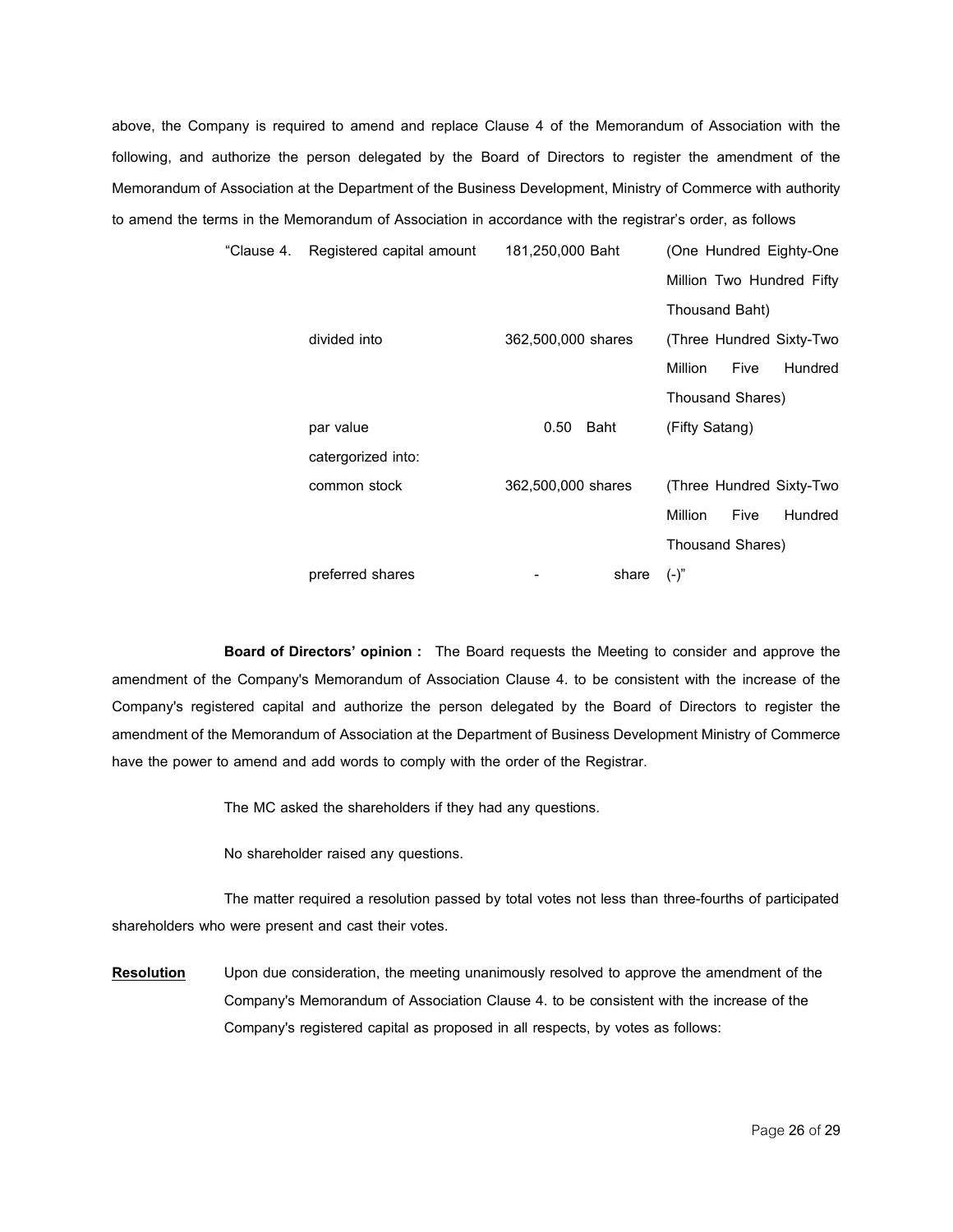above, the Company is required to amend and replace Clause 4 of the Memorandum of Association with the following, and authorize the person delegated by the Board of Directors to register the amendment of the Memorandum of Association at the Department of the Business Development, Ministry of Commerce with authority to amend the terms in the Memorandum of Association in accordance with the registrar's order, as follows

| "Clause 4. | Registered capital amount | 181,250,000 Baht   |       |                  |             | (One Hundred Eighty-One   |
|------------|---------------------------|--------------------|-------|------------------|-------------|---------------------------|
|            |                           |                    |       |                  |             | Million Two Hundred Fifty |
|            |                           |                    |       | Thousand Baht)   |             |                           |
|            | divided into              | 362,500,000 shares |       |                  |             | (Three Hundred Sixty-Two  |
|            |                           |                    |       | Million          | <b>Five</b> | Hundred                   |
|            |                           |                    |       | Thousand Shares) |             |                           |
|            | par value                 | 0.50<br>Baht       |       | (Fifty Satang)   |             |                           |
|            | catergorized into:        |                    |       |                  |             |                           |
|            | common stock              | 362,500,000 shares |       |                  |             | (Three Hundred Sixty-Two  |
|            |                           |                    |       | Million          | <b>Five</b> | Hundred                   |
|            |                           |                    |       | Thousand Shares) |             |                           |
|            | preferred shares          |                    | share | $(-)^{n}$        |             |                           |

**Board of Directors' opinion :** The Board requests the Meeting to consider and approve the amendment of the Company's Memorandum of Association Clause 4. to be consistent with the increase of the Company's registered capital and authorize the person delegated by the Board of Directors to register the amendment of the Memorandum of Association at the Department of Business Development Ministry of Commerce have the power to amend and add words to comply with the order of the Registrar.

The MC asked the shareholders if they had any questions.

No shareholder raised any questions.

The matter required a resolution passed by total votes not less than three-fourths of participated shareholders who were present and cast their votes.

**Resolution** Upon due consideration, the meeting unanimously resolved to approve the amendment of the Company's Memorandum of Association Clause 4. to be consistent with the increase of the Company's registered capital as proposed in all respects, by votes as follows: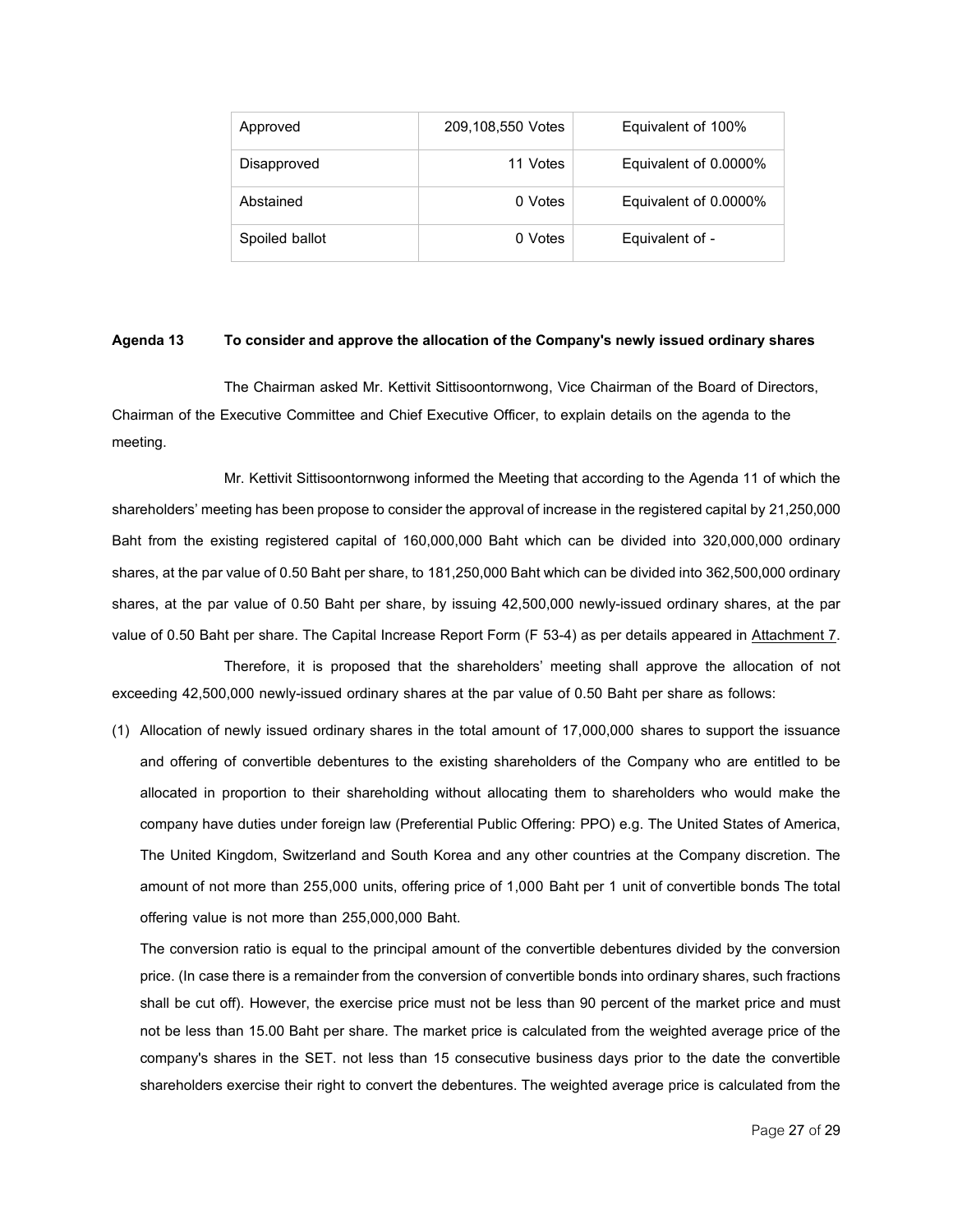| Approved       | 209,108,550 Votes | Equivalent of 100%    |
|----------------|-------------------|-----------------------|
| Disapproved    | 11 Votes          | Equivalent of 0.0000% |
| Abstained      | 0 Votes           | Equivalent of 0.0000% |
| Spoiled ballot | 0 Votes           | Equivalent of -       |

## **Agenda 13 Toconsiderandapprove the allocationof the Company'snewly issuedordinaryshares**

The Chairman asked Mr. Kettivit Sittisoontornwong, Vice Chairman of the Board of Directors, Chairman of the Executive Committee and Chief Executive Officer, to explain details on the agenda to the meeting.

Mr. Kettivit Sittisoontornwong informed the Meeting that according to the Agenda 11 of which the shareholders' meeting has been propose to consider the approval of increase in the registered capital by 21,250,000 Baht from the existing registered capital of 160,000,000 Baht which can be divided into 320,000,000 ordinary shares, at the par value of 0.50 Baht per share, to 181,250,000 Baht which can be divided into 362,500,000 ordinary shares, at the par value of 0.50 Baht per share, by issuing 42,500,000 newly-issued ordinary shares, at the par value of 0.50 Baht per share. The Capital Increase Report Form (F 53-4) as per details appeared in Attachment 7.

Therefore, it is proposed that the shareholders' meeting shall approve the allocation of not exceeding 42,500,000 newly-issued ordinary shares at the par value of 0.50 Baht per share as follows:

(1) Allocation of newly issued ordinary shares in the total amount of 17,000,000 shares to support the issuance and offering of convertible debentures to the existing shareholders of the Company who are entitled to be allocated in proportion to their shareholding without allocating them to shareholders who would make the company have duties under foreign law (Preferential Public Offering: PPO) e.g. The United States of America, The United Kingdom, Switzerland and South Korea and any other countries at the Company discretion. The amount of not more than 255,000 units, offering price of 1,000 Baht per 1 unit of convertible bonds The total offering value is not more than 255,000,000 Baht.

The conversion ratio is equal to the principal amount of the convertible debentures divided by the conversion price. (In case there is a remainder from the conversion of convertible bonds into ordinary shares, such fractions shall be cut off). However, the exercise price must not be less than 90 percent of the market price and must not be less than 15.00 Baht per share. The market price is calculated from the weighted average price of the company's shares in the SET. not less than 15 consecutive business days prior to the date the convertible shareholders exercise their right to convert the debentures.The weighted average price is calculated from the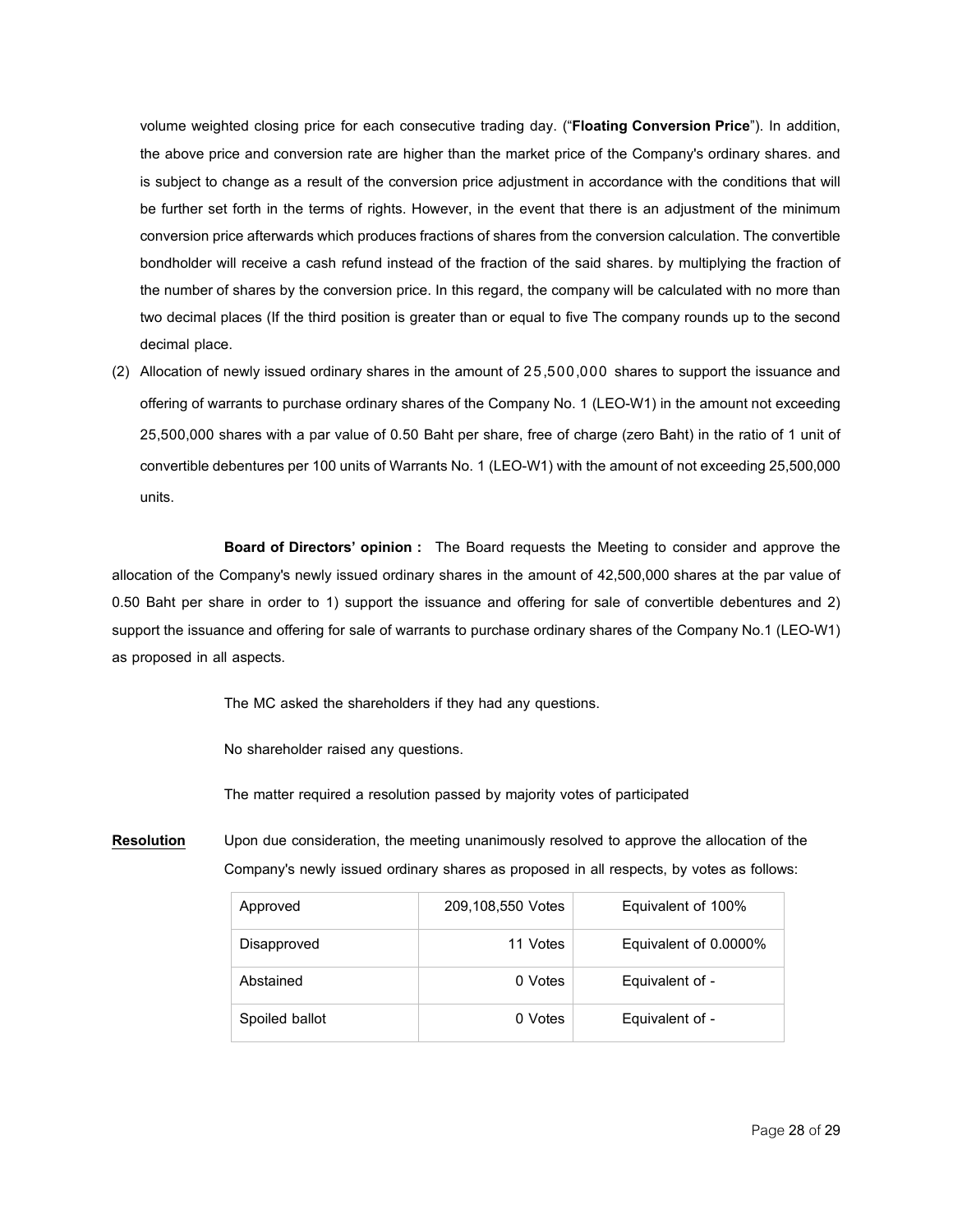volume weighted closing price for each consecutive trading day. ("**Floating Conversion Price**"). In addition, the above price and conversion rate are higher than the market price of the Company's ordinary shares. and is subject to change as a result of the conversion price adjustment in accordance with the conditions that will be further set forth in the terms of rights. However, in the event that there is an adjustment of the minimum conversion price afterwards which produces fractions of shares from the conversion calculation. The convertible bondholder will receive a cash refund instead of the fraction of the said shares. by multiplying the fraction of the number of shares by the conversion price. In this regard, the company will be calculated with no more than two decimal places (If the third position is greater than or equal to five The company rounds up to the second decimal place.

(2) Allocation of newly issued ordinary shares in the amount of 25,500,000 shares to support the issuance and offering of warrants to purchase ordinary shares of the Company No. 1 (LEO-W1) in the amount not exceeding 25,500,000 shares with a par value of 0.50 Baht per share, free of charge (zero Baht) in the ratio of 1 unit of convertible debentures per 100 units of Warrants No. 1 (LEO-W1) with the amount of not exceeding 25,500,000 units.

**Board of Directors' opinion :** The Board requests the Meeting to consider and approve the allocation of the Company's newly issued ordinary shares in the amount of 42,500,000 shares at the par value of 0.50 Baht per share in order to 1) support the issuance and offering for sale of convertible debentures and 2) support the issuance and offering for sale of warrants to purchase ordinary shares of the Company No.1 (LEO-W1) as proposed in all aspects.

The MC asked the shareholders if they had any questions.

No shareholder raised any questions.

The matter required a resolution passed by majority votes of participated

**Resolution** Upon due consideration, the meeting unanimously resolved to approve the allocation of the Company's newly issued ordinary shares as proposed in all respects, by votes as follows:

| Approved       | 209,108,550 Votes | Equivalent of 100%    |
|----------------|-------------------|-----------------------|
| Disapproved    | 11 Votes          | Equivalent of 0.0000% |
| Abstained      | 0 Votes           | Equivalent of -       |
| Spoiled ballot | 0 Votes           | Equivalent of -       |